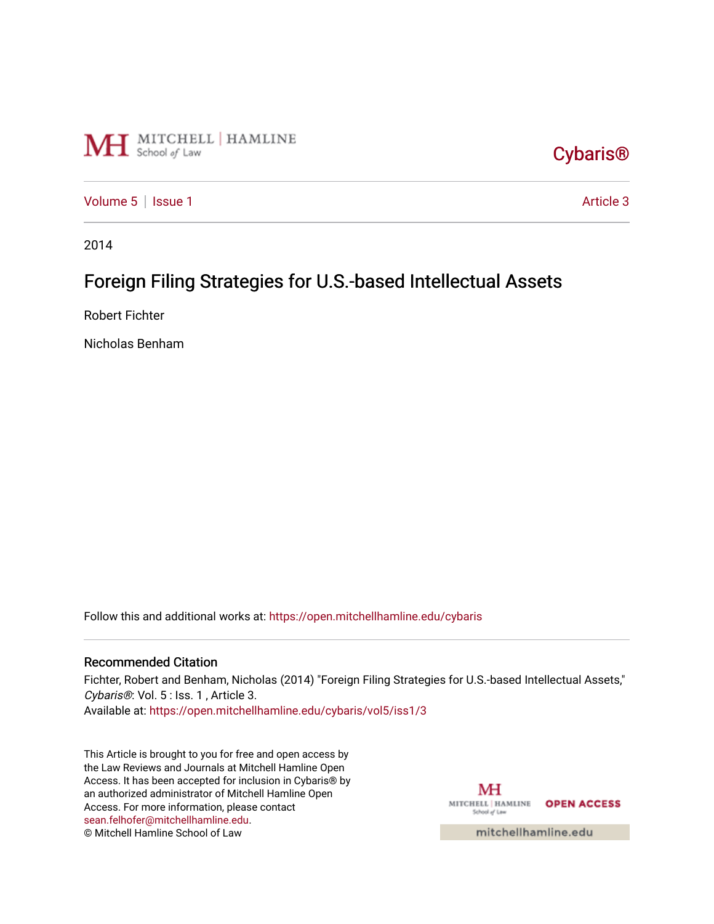

[Cybaris®](https://open.mitchellhamline.edu/cybaris) 

[Volume 5](https://open.mitchellhamline.edu/cybaris/vol5) | [Issue 1](https://open.mitchellhamline.edu/cybaris/vol5/iss1) Article 3

2014

# Foreign Filing Strategies for U.S.-based Intellectual Assets

Robert Fichter

Nicholas Benham

Follow this and additional works at: [https://open.mitchellhamline.edu/cybaris](https://open.mitchellhamline.edu/cybaris?utm_source=open.mitchellhamline.edu%2Fcybaris%2Fvol5%2Fiss1%2F3&utm_medium=PDF&utm_campaign=PDFCoverPages) 

#### Recommended Citation

Fichter, Robert and Benham, Nicholas (2014) "Foreign Filing Strategies for U.S.-based Intellectual Assets," Cybaris®: Vol. 5 : Iss. 1, Article 3.

Available at: [https://open.mitchellhamline.edu/cybaris/vol5/iss1/3](https://open.mitchellhamline.edu/cybaris/vol5/iss1/3?utm_source=open.mitchellhamline.edu%2Fcybaris%2Fvol5%2Fiss1%2F3&utm_medium=PDF&utm_campaign=PDFCoverPages)

This Article is brought to you for free and open access by the Law Reviews and Journals at Mitchell Hamline Open Access. It has been accepted for inclusion in Cybaris® by an authorized administrator of Mitchell Hamline Open Access. For more information, please contact [sean.felhofer@mitchellhamline.edu](mailto:sean.felhofer@mitchellhamline.edu). © Mitchell Hamline School of Law

MH MITCHELL | HAMLINE OPEN ACCESS School of Law

mitchellhamline.edu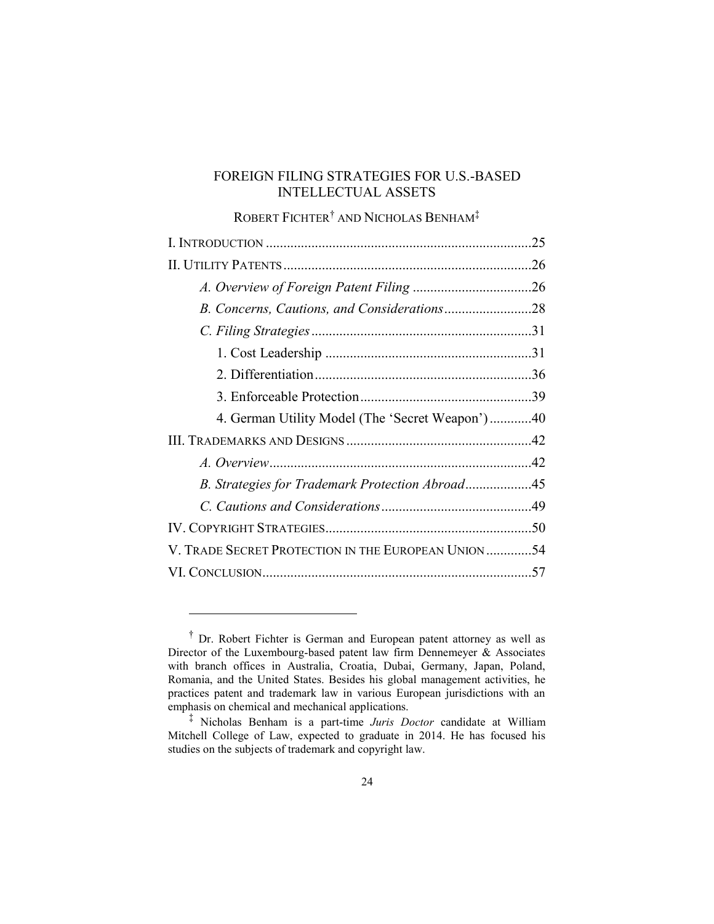# FOREIGN FILING STRATEGIES FOR U.S.-BASED INTELLECTUAL ASSETS

# ROBERT FICHTER† AND NICHOLAS BENHAM‡

|                                                     | 25 |
|-----------------------------------------------------|----|
|                                                     |    |
|                                                     |    |
|                                                     |    |
|                                                     |    |
|                                                     |    |
|                                                     |    |
|                                                     |    |
| 4. German Utility Model (The 'Secret Weapon')40     |    |
|                                                     |    |
|                                                     |    |
|                                                     |    |
|                                                     |    |
|                                                     |    |
| V. TRADE SECRET PROTECTION IN THE EUROPEAN UNION 54 |    |
|                                                     |    |

<sup>†</sup> Dr. Robert Fichter is German and European patent attorney as well as Director of the Luxembourg-based patent law firm Dennemeyer  $\&$  Associates with branch offices in Australia, Croatia, Dubai, Germany, Japan, Poland, Romania, and the United States. Besides his global management activities, he practices patent and trademark law in various European jurisdictions with an emphasis on chemical and mechanical applications.

<sup>‡</sup> Nicholas Benham is a part-time *Juris Doctor* candidate at William Mitchell College of Law, expected to graduate in 2014. He has focused his studies on the subjects of trademark and copyright law.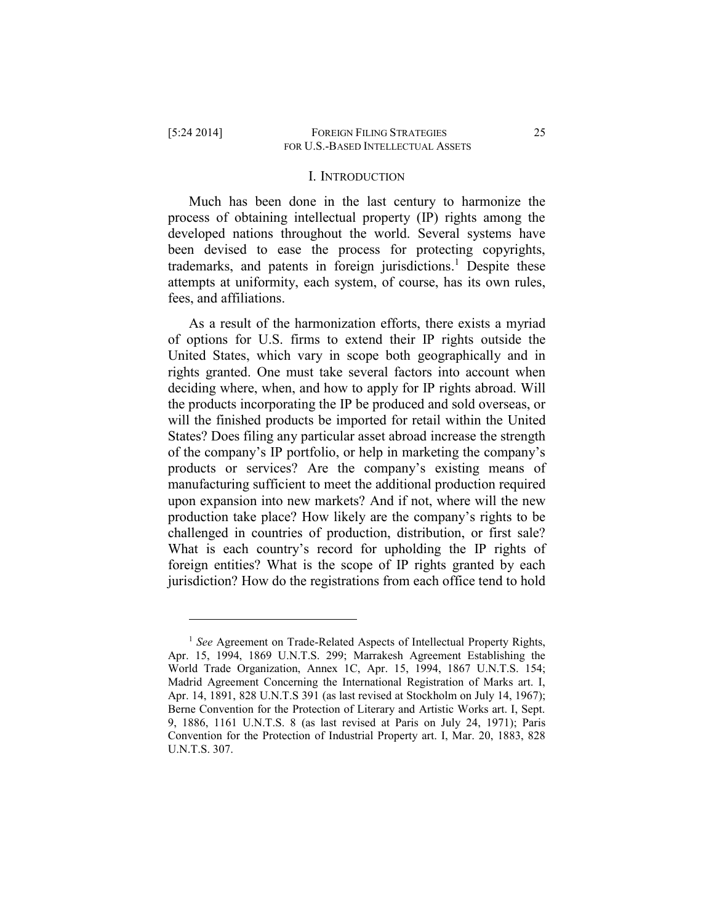$\overline{a}$ 

#### I. INTRODUCTION

Much has been done in the last century to harmonize the process of obtaining intellectual property (IP) rights among the developed nations throughout the world. Several systems have been devised to ease the process for protecting copyrights, trademarks, and patents in foreign jurisdictions. <sup>1</sup> Despite these attempts at uniformity, each system, of course, has its own rules, fees, and affiliations.

As a result of the harmonization efforts, there exists a myriad of options for U.S. firms to extend their IP rights outside the United States, which vary in scope both geographically and in rights granted. One must take several factors into account when deciding where, when, and how to apply for IP rights abroad. Will the products incorporating the IP be produced and sold overseas, or will the finished products be imported for retail within the United States? Does filing any particular asset abroad increase the strength of the company's IP portfolio, or help in marketing the company's products or services? Are the company's existing means of manufacturing sufficient to meet the additional production required upon expansion into new markets? And if not, where will the new production take place? How likely are the company's rights to be challenged in countries of production, distribution, or first sale? What is each country's record for upholding the IP rights of foreign entities? What is the scope of IP rights granted by each jurisdiction? How do the registrations from each office tend to hold

<sup>&</sup>lt;sup>1</sup> *See* Agreement on Trade-Related Aspects of Intellectual Property Rights, Apr. 15, 1994, 1869 U.N.T.S. 299; Marrakesh Agreement Establishing the World Trade Organization, Annex 1C, Apr. 15, 1994, 1867 U.N.T.S. 154; Madrid Agreement Concerning the International Registration of Marks art. I, Apr. 14, 1891, 828 U.N.T.S 391 (as last revised at Stockholm on July 14, 1967); Berne Convention for the Protection of Literary and Artistic Works art. I, Sept. 9, 1886, 1161 U.N.T.S. 8 (as last revised at Paris on July 24, 1971); Paris Convention for the Protection of Industrial Property art. I, Mar. 20, 1883, 828 U.N.T.S. 307.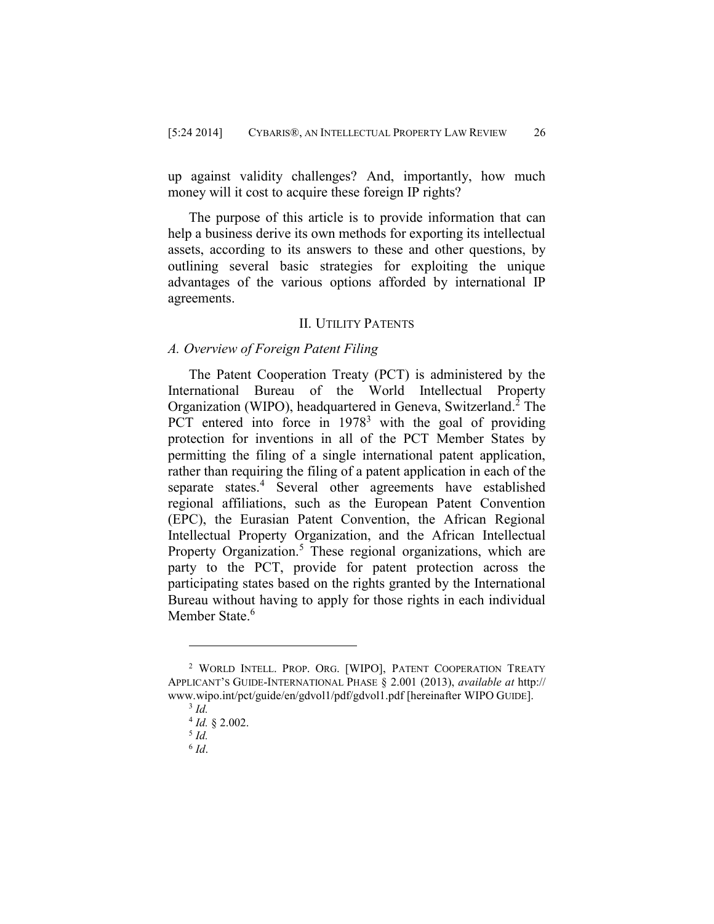up against validity challenges? And, importantly, how much money will it cost to acquire these foreign IP rights?

The purpose of this article is to provide information that can help a business derive its own methods for exporting its intellectual assets, according to its answers to these and other questions, by outlining several basic strategies for exploiting the unique advantages of the various options afforded by international IP agreements.

# II. UTILITY PATENTS

# *A. Overview of Foreign Patent Filing*

The Patent Cooperation Treaty (PCT) is administered by the International Bureau of the World Intellectual Property Organization (WIPO), headquartered in Geneva, Switzerland. <sup>2</sup> The PCT entered into force in  $1978<sup>3</sup>$  with the goal of providing protection for inventions in all of the PCT Member States by permitting the filing of a single international patent application, rather than requiring the filing of a patent application in each of the separate states.<sup>4</sup> Several other agreements have established regional affiliations, such as the European Patent Convention (EPC), the Eurasian Patent Convention, the African Regional Intellectual Property Organization, and the African Intellectual Property Organization.<sup>5</sup> These regional organizations, which are party to the PCT, provide for patent protection across the participating states based on the rights granted by the International Bureau without having to apply for those rights in each individual Member State.<sup>6</sup>

<sup>2</sup> WORLD INTELL. PROP. ORG. [WIPO], PATENT COOPERATION TREATY APPLICANT'S GUIDE-INTERNATIONAL PHASE § 2.001 (2013), *available at* http:// www.wipo.int/pct/guide/en/gdvol1/pdf/gdvol1.pdf [hereinafter WIPO GUIDE].

<sup>3</sup> *Id.*

<sup>4</sup> *Id.* § 2.002.

<sup>5</sup> *Id.*

<sup>6</sup> *Id*.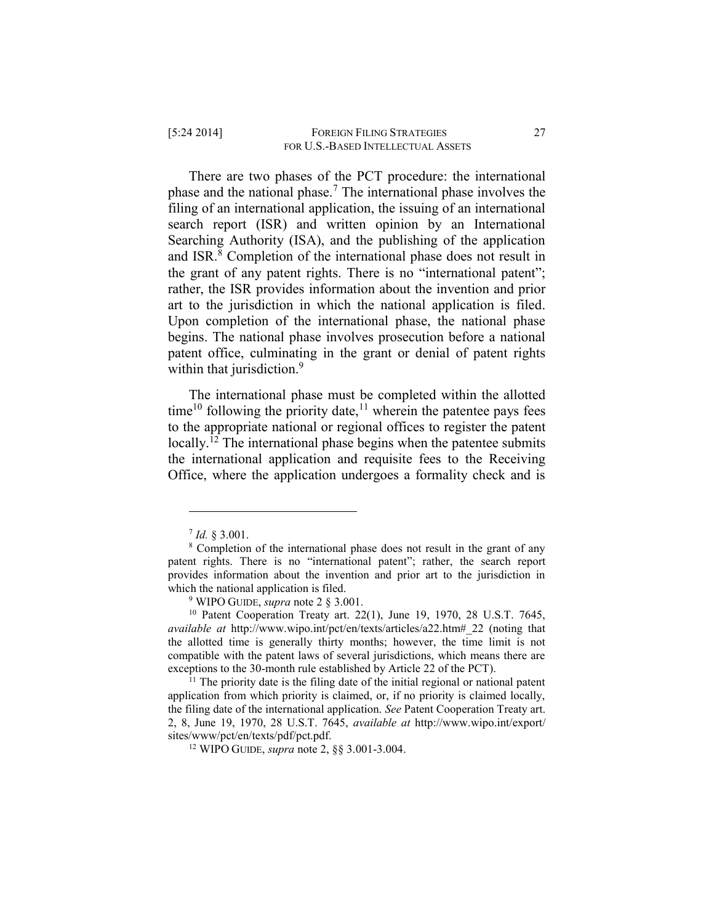There are two phases of the PCT procedure: the international phase and the national phase.<sup>7</sup> The international phase involves the filing of an international application, the issuing of an international search report (ISR) and written opinion by an International Searching Authority (ISA), and the publishing of the application and ISR. <sup>8</sup> Completion of the international phase does not result in the grant of any patent rights. There is no "international patent"; rather, the ISR provides information about the invention and prior art to the jurisdiction in which the national application is filed. Upon completion of the international phase, the national phase begins. The national phase involves prosecution before a national patent office, culminating in the grant or denial of patent rights within that jurisdiction.<sup>9</sup>

The international phase must be completed within the allotted time<sup>10</sup> following the priority date,<sup>11</sup> wherein the patentee pays fees to the appropriate national or regional offices to register the patent locally.<sup>12</sup> The international phase begins when the patentee submits the international application and requisite fees to the Receiving Office, where the application undergoes a formality check and is

<sup>7</sup> *Id.* § 3.001.

<sup>&</sup>lt;sup>8</sup> Completion of the international phase does not result in the grant of any patent rights. There is no "international patent"; rather, the search report provides information about the invention and prior art to the jurisdiction in which the national application is filed.

<sup>9</sup> WIPO GUIDE, *supra* note 2 § 3.001.

<sup>10</sup> Patent Cooperation Treaty art. 22(1), June 19, 1970, 28 U.S.T. 7645, *available at* http://www.wipo.int/pct/en/texts/articles/a22.htm#\_22 (noting that the allotted time is generally thirty months; however, the time limit is not compatible with the patent laws of several jurisdictions, which means there are exceptions to the 30-month rule established by Article 22 of the PCT).

 $11$  The priority date is the filing date of the initial regional or national patent application from which priority is claimed, or, if no priority is claimed locally, the filing date of the international application. *See* Patent Cooperation Treaty art. 2, 8, June 19, 1970, 28 U.S.T. 7645, *available at* http://www.wipo.int/export/ sites/www/pct/en/texts/pdf/pct.pdf.

<sup>12</sup> WIPO GUIDE, *supra* note 2, §§ 3.001-3.004.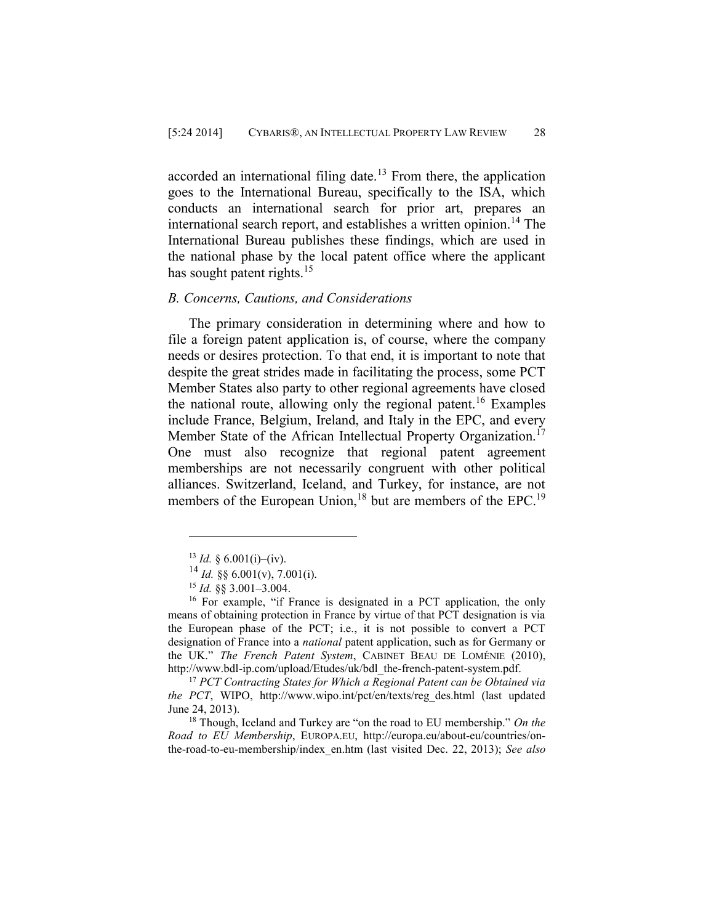accorded an international filing date.<sup>13</sup> From there, the application goes to the International Bureau, specifically to the ISA, which conducts an international search for prior art, prepares an international search report, and establishes a written opinion.<sup>14</sup> The International Bureau publishes these findings, which are used in the national phase by the local patent office where the applicant has sought patent rights. $15$ 

## *B. Concerns, Cautions, and Considerations*

The primary consideration in determining where and how to file a foreign patent application is, of course, where the company needs or desires protection. To that end, it is important to note that despite the great strides made in facilitating the process, some PCT Member States also party to other regional agreements have closed the national route, allowing only the regional patent.<sup>16</sup> Examples include France, Belgium, Ireland, and Italy in the EPC, and every Member State of the African Intellectual Property Organization.<sup>17</sup> One must also recognize that regional patent agreement memberships are not necessarily congruent with other political alliances. Switzerland, Iceland, and Turkey, for instance, are not members of the European Union,<sup>18</sup> but are members of the EPC.<sup>19</sup>

 $\overline{a}$ 

<sup>17</sup> *PCT Contracting States for Which a Regional Patent can be Obtained via the PCT*, WIPO, http://www.wipo.int/pct/en/texts/reg\_des.html (last updated June 24, 2013).

<sup>18</sup> Though, Iceland and Turkey are "on the road to EU membership." *On the Road to EU Membership*, EUROPA.EU, http://europa.eu/about-eu/countries/onthe-road-to-eu-membership/index\_en.htm (last visited Dec. 22, 2013); *See also* 

 $13$  *Id.* § 6.001(i)–(iv).

 $^{14}$  *Id.* §§ 6.001(v), 7.001(i).

<sup>15</sup> *Id.* §§ 3.001–3.004.

<sup>16</sup> For example, "if France is designated in a PCT application, the only means of obtaining protection in France by virtue of that PCT designation is via the European phase of the PCT; i.e., it is not possible to convert a PCT designation of France into a *national* patent application, such as for Germany or the UK." *The French Patent System*, CABINET BEAU DE LOMÉNIE (2010), http://www.bdl-ip.com/upload/Etudes/uk/bdl\_the-french-patent-system.pdf.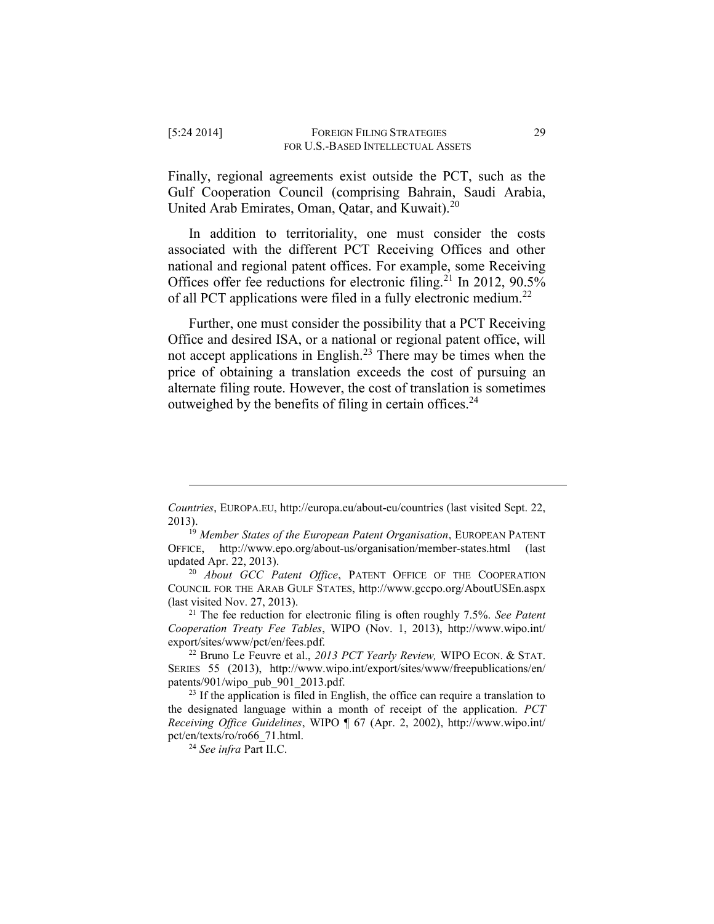Finally, regional agreements exist outside the PCT, such as the Gulf Cooperation Council (comprising Bahrain, Saudi Arabia, United Arab Emirates, Oman, Qatar, and Kuwait).<sup>20</sup>

In addition to territoriality, one must consider the costs associated with the different PCT Receiving Offices and other national and regional patent offices. For example, some Receiving Offices offer fee reductions for electronic filing.<sup>21</sup> In 2012, 90.5% of all PCT applications were filed in a fully electronic medium.<sup>22</sup>

Further, one must consider the possibility that a PCT Receiving Office and desired ISA, or a national or regional patent office, will not accept applications in English.<sup>23</sup> There may be times when the price of obtaining a translation exceeds the cost of pursuing an alternate filing route. However, the cost of translation is sometimes outweighed by the benefits of filing in certain offices.<sup>24</sup>

<sup>21</sup> The fee reduction for electronic filing is often roughly 7.5%. *See Patent Cooperation Treaty Fee Tables*, WIPO (Nov. 1, 2013), http://www.wipo.int/ export/sites/www/pct/en/fees.pdf.

<sup>22</sup> Bruno Le Feuvre et al., *2013 PCT Yearly Review,* WIPO ECON. & STAT. SERIES 55 (2013), http://www.wipo.int/export/sites/www/freepublications/en/ patents/901/wipo\_pub\_901\_2013.pdf.

<sup>24</sup> *See infra* Part II.C.

*Countries*, EUROPA.EU, http://europa.eu/about-eu/countries (last visited Sept. 22, 2013).

<sup>19</sup> *Member States of the European Patent Organisation*, EUROPEAN PATENT OFFICE, http://www.epo.org/about-us/organisation/member-states.html (last updated Apr. 22, 2013).

<sup>20</sup> *About GCC Patent Office*, PATENT OFFICE OF THE COOPERATION COUNCIL FOR THE ARAB GULF STATES, http://www.gccpo.org/AboutUSEn.aspx (last visited Nov. 27, 2013).

 $23$  If the application is filed in English, the office can require a translation to the designated language within a month of receipt of the application. *PCT Receiving Office Guidelines*, WIPO ¶ 67 (Apr. 2, 2002), [http://www.wipo.int/](http://‌/‌www.wipo.int/‌pct/‌en/‌texts/‌ro/‌ro66_71.html) [pct/en/texts/ro/ro66\\_71.html.](http://‌/‌www.wipo.int/‌pct/‌en/‌texts/‌ro/‌ro66_71.html)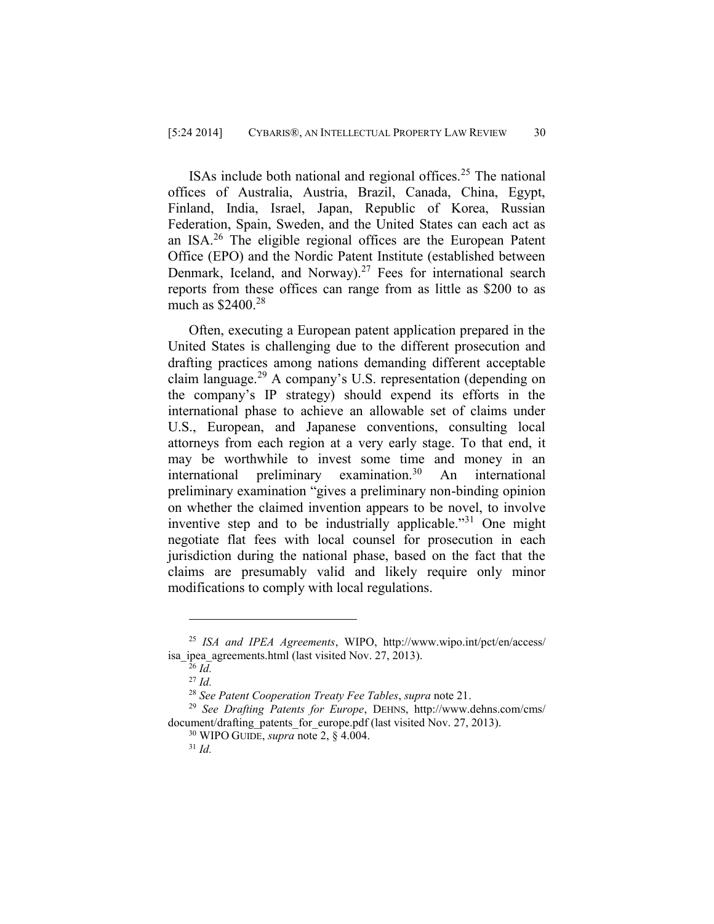ISAs include both national and regional offices.<sup>25</sup> The national offices of Australia, Austria, Brazil, Canada, China, Egypt, Finland, India, Israel, Japan, Republic of Korea, Russian Federation, Spain, Sweden, and the United States can each act as an ISA. <sup>26</sup> The eligible regional offices are the European Patent Office (EPO) and the Nordic Patent Institute (established between Denmark, Iceland, and Norway).<sup>27</sup> Fees for international search reports from these offices can range from as little as \$200 to as much as  $$2400.<sup>28</sup>$ 

Often, executing a European patent application prepared in the United States is challenging due to the different prosecution and drafting practices among nations demanding different acceptable claim language.<sup>29</sup> A company's U.S. representation (depending on the company's IP strategy) should expend its efforts in the international phase to achieve an allowable set of claims under U.S., European, and Japanese conventions, consulting local attorneys from each region at a very early stage. To that end, it may be worthwhile to invest some time and money in an international preliminary examination.<sup>30</sup> An international preliminary examination "gives a preliminary non-binding opinion on whether the claimed invention appears to be novel, to involve inventive step and to be industrially applicable.<sup>"31</sup> One might negotiate flat fees with local counsel for prosecution in each jurisdiction during the national phase, based on the fact that the claims are presumably valid and likely require only minor modifications to comply with local regulations.

<sup>25</sup> *ISA and IPEA Agreements*, WIPO, http://www.wipo.int/pct/en/access/ isa ipea agreements.html (last visited Nov. 27, 2013).

<sup>26</sup> *Id.*

<sup>27</sup> *Id.*

<sup>28</sup> *See Patent Cooperation Treaty Fee Tables*, *supra* note 21.

<sup>29</sup> *See Drafting Patents for Europe*, DEHNS, http://www.dehns.com/cms/ document/drafting\_patents\_for\_europe.pdf (last visited Nov. 27, 2013).

<sup>30</sup> WIPO GUIDE, *supra* note 2, § 4.004.

<sup>31</sup> *Id.*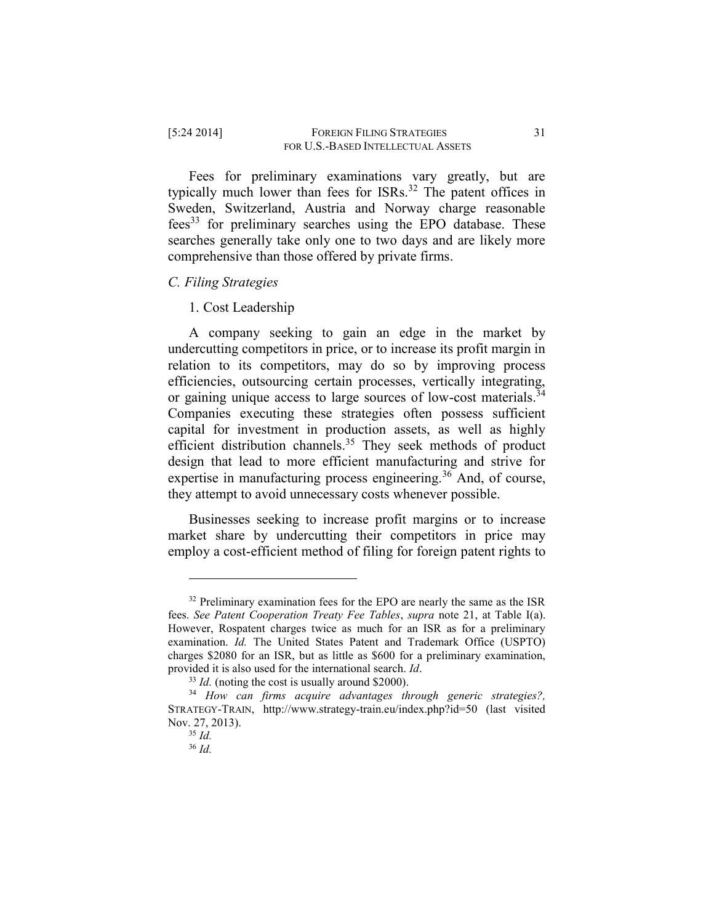Fees for preliminary examinations vary greatly, but are typically much lower than fees for  $ISRs.<sup>32</sup>$  The patent offices in Sweden, Switzerland, Austria and Norway charge reasonable  $fees<sup>33</sup>$  for preliminary searches using the EPO database. These searches generally take only one to two days and are likely more comprehensive than those offered by private firms.

## *C. Filing Strategies*

1. Cost Leadership

A company seeking to gain an edge in the market by undercutting competitors in price, or to increase its profit margin in relation to its competitors, may do so by improving process efficiencies, outsourcing certain processes, vertically integrating, or gaining unique access to large sources of low-cost materials.<sup>34</sup> Companies executing these strategies often possess sufficient capital for investment in production assets, as well as highly efficient distribution channels.<sup>35</sup> They seek methods of product design that lead to more efficient manufacturing and strive for expertise in manufacturing process engineering.<sup>36</sup> And, of course, they attempt to avoid unnecessary costs whenever possible.

Businesses seeking to increase profit margins or to increase market share by undercutting their competitors in price may employ a cost-efficient method of filing for foreign patent rights to

<sup>&</sup>lt;sup>32</sup> Preliminary examination fees for the EPO are nearly the same as the ISR fees. *See Patent Cooperation Treaty Fee Tables*, *supra* note 21, at Table I(a). However, Rospatent charges twice as much for an ISR as for a preliminary examination. *Id.* The United States Patent and Trademark Office (USPTO) charges \$2080 for an ISR, but as little as \$600 for a preliminary examination, provided it is also used for the international search. *Id*.

<sup>&</sup>lt;sup>33</sup> *Id.* (noting the cost is usually around \$2000).

<sup>34</sup> *How can firms acquire advantages through generic strategies?,* STRATEGY-TRAIN, http://www.strategy-train.eu/index.php?id=50 (last visited Nov. 27, 2013).

<sup>35</sup> *Id.*

<sup>36</sup> *Id.*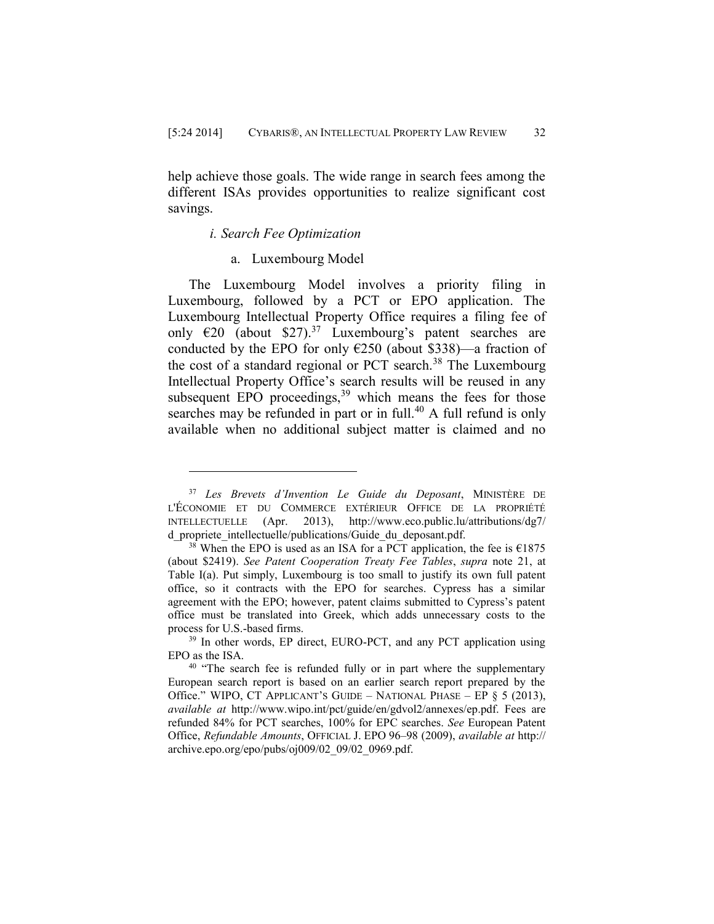help achieve those goals. The wide range in search fees among the different ISAs provides opportunities to realize significant cost savings.

#### *i. Search Fee Optimization*

 $\overline{a}$ 

#### a. Luxembourg Model

The Luxembourg Model involves a priority filing in Luxembourg, followed by a PCT or EPO application. The Luxembourg Intellectual Property Office requires a filing fee of only  $\epsilon$ 20 (about \$27).<sup>37</sup> Luxembourg's patent searches are conducted by the EPO for only  $E250$  (about \$338)—a fraction of the cost of a standard regional or PCT search.<sup>38</sup> The Luxembourg Intellectual Property Office's search results will be reused in any subsequent EPO proceedings, $39$  which means the fees for those searches may be refunded in part or in full. $40$  A full refund is only available when no additional subject matter is claimed and no

<sup>37</sup> *Les Brevets d'Invention Le Guide du Deposant*, MINISTÈRE DE L'ÉCONOMIE ET DU COMMERCE EXTÉRIEUR OFFICE DE LA PROPRIÉTÉ INTELLECTUELLE (Apr. 2013), http://www.eco.public.lu/attributions/dg7/ d propriete intellectuelle/publications/Guide du deposant.pdf.

<sup>&</sup>lt;sup>38</sup> When the EPO is used as an ISA for a PCT application, the fee is  $£1875$ (about \$2419). *See Patent Cooperation Treaty Fee Tables*, *supra* note 21, at Table I(a). Put simply, Luxembourg is too small to justify its own full patent office, so it contracts with the EPO for searches. Cypress has a similar agreement with the EPO; however, patent claims submitted to Cypress's patent office must be translated into Greek, which adds unnecessary costs to the process for U.S.-based firms.

<sup>&</sup>lt;sup>39</sup> In other words, EP direct, EURO-PCT, and any PCT application using EPO as the ISA.

<sup>&</sup>lt;sup>40</sup> "The search fee is refunded fully or in part where the supplementary European search report is based on an earlier search report prepared by the Office." WIPO, CT APPLICANT'S GUIDE – NATIONAL PHASE – EP  $\S 5$  (2013), *available at* http://www.wipo.int/pct/guide/en/gdvol2/annexes/ep.pdf. Fees are refunded 84% for PCT searches, 100% for EPC searches. *See* European Patent Office, *Refundable Amounts*, OFFICIAL J. EPO 96–98 (2009), *available at* [http://](http://archive.epo.org/epo/pubs/oj009/02_09/02_0969.pdf) [archive.epo.org/epo/pubs/oj009/02\\_09/02\\_0969.pdf.](http://archive.epo.org/epo/pubs/oj009/02_09/02_0969.pdf)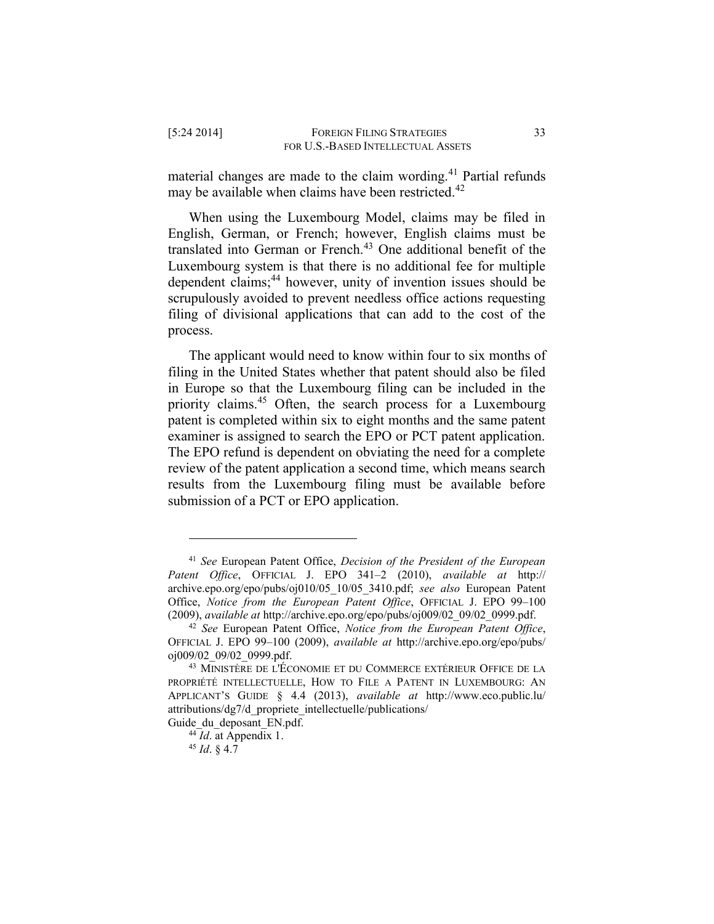material changes are made to the claim wording.<sup>41</sup> Partial refunds may be available when claims have been restricted.<sup>42</sup>

When using the Luxembourg Model, claims may be filed in English, German, or French; however, English claims must be translated into German or French.<sup>43</sup> One additional benefit of the Luxembourg system is that there is no additional fee for multiple dependent claims;<sup>44</sup> however, unity of invention issues should be scrupulously avoided to prevent needless office actions requesting filing of divisional applications that can add to the cost of the process.

The applicant would need to know within four to six months of filing in the United States whether that patent should also be filed in Europe so that the Luxembourg filing can be included in the priority claims.<sup>45</sup> Often, the search process for a Luxembourg patent is completed within six to eight months and the same patent examiner is assigned to search the EPO or PCT patent application. The EPO refund is dependent on obviating the need for a complete review of the patent application a second time, which means search results from the Luxembourg filing must be available before submission of a PCT or EPO application.

<sup>41</sup> *See* European Patent Office, *Decision of the President of the European Patent Office*, OFFICIAL J. EPO 341–2 (2010), *available at* [http://](http://‌/‌archive.epo.org/‌epo/‌pubs/‌oj010/‌05_10/‌05_3410.pdf) [archive.epo.org/epo/pubs/oj010/05\\_10/05\\_3410.pdf;](http://‌/‌archive.epo.org/‌epo/‌pubs/‌oj010/‌05_10/‌05_3410.pdf) *see also* European Patent Office, *Notice from the European Patent Office*, OFFICIAL J. EPO 99–100 (2009), *available at* [http://archive.epo.org/epo/pubs/oj009/02\\_09/02\\_0999.pdf.](http://archive.epo.org/epo/pubs/oj009/02_09/02_0999.pdf)

<sup>42</sup> *See* European Patent Office, *Notice from the European Patent Office*, OFFICIAL J. EPO 99–100 (2009), *available at* [http://archive.epo.org/epo/pubs/](http://archive.epo.org/epo/pubs/oj009/02_09/02_0999.pdf) [oj009/02\\_09/02\\_0999.pdf.](http://archive.epo.org/epo/pubs/oj009/02_09/02_0999.pdf)

<sup>43</sup> MINISTÈRE DE L'ÉCONOMIE ET DU COMMERCE EXTÉRIEUR OFFICE DE LA PROPRIÉTÉ INTELLECTUELLE, HOW TO FILE A PATENT IN LUXEMBOURG: AN APPLICANT'S GUIDE § 4.4 (2013), *available at* [http://www.eco.public.lu/](http://www.eco.public.lu/attributions/dg7/d_propriete_intellectuelle/publications/Guide_du_deposant_EN.pdf) [attributions/dg7/d\\_propriete\\_intellectuelle/publications/](http://www.eco.public.lu/attributions/dg7/d_propriete_intellectuelle/publications/Guide_du_deposant_EN.pdf)

Guide du deposant EN.pdf.

<sup>&</sup>lt;sup>44</sup> *Id*. at Appendix 1.

<sup>45</sup> *Id*. § 4.7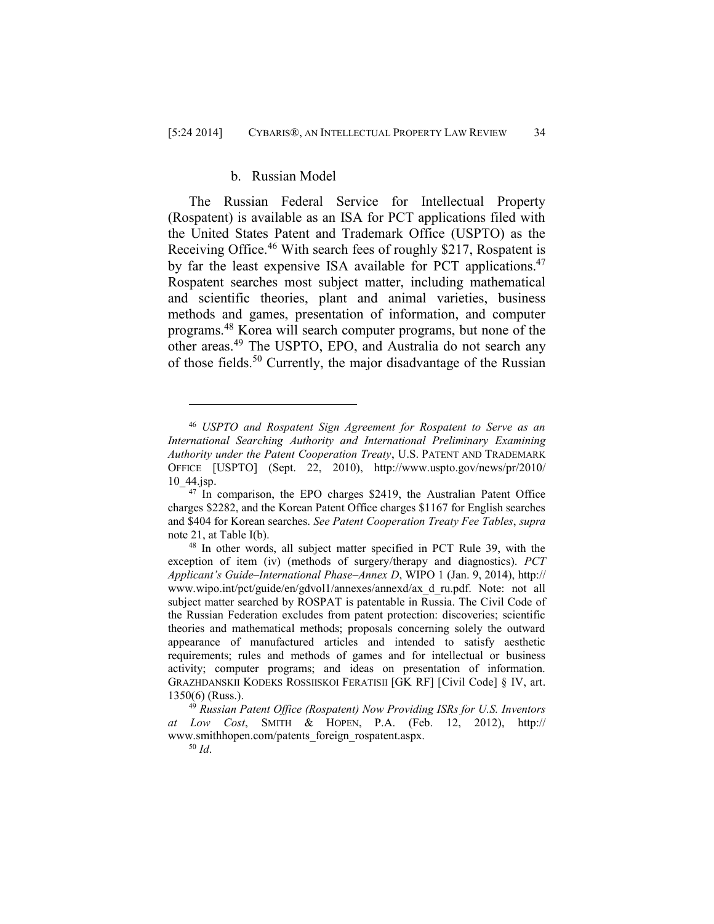# b. Russian Model

The Russian Federal Service for Intellectual Property (Rospatent) is available as an ISA for PCT applications filed with the United States Patent and Trademark Office (USPTO) as the Receiving Office.<sup>46</sup> With search fees of roughly \$217, Rospatent is by far the least expensive ISA available for PCT applications.<sup>47</sup> Rospatent searches most subject matter, including mathematical and scientific theories, plant and animal varieties, business methods and games, presentation of information, and computer programs.<sup>48</sup> Korea will search computer programs, but none of the other areas.<sup>49</sup> The USPTO, EPO, and Australia do not search any of those fields.<sup>50</sup> Currently, the major disadvantage of the Russian

<sup>46</sup> *USPTO and Rospatent Sign Agreement for Rospatent to Serve as an International Searching Authority and International Preliminary Examining Authority under the Patent Cooperation Treaty*, U.S. PATENT AND TRADEMARK OFFICE [USPTO] (Sept. 22, 2010), [http://www.uspto.gov/news/pr/2010/](http://www.uspto.gov/news/pr/2010/10_44.jsp) 10 44.jsp.

 $47$  In comparison, the EPO charges \$2419, the Australian Patent Office charges \$2282, and the Korean Patent Office charges \$1167 for English searches and \$404 for Korean searches. *See Patent Cooperation Treaty Fee Tables*, *supra*  note 21, at Table I(b).

<sup>48</sup> In other words, all subject matter specified in PCT Rule 39, with the exception of item (iv) (methods of surgery/therapy and diagnostics). *PCT Applicant's Guide–International Phase–Annex D*, WIPO 1 (Jan. 9, 2014), http:// www.wipo.int/pct/guide/en/gdvol1/annexes/annexd/ax\_d\_ru.pdf. Note: not all subject matter searched by ROSPAT is patentable in Russia. The Civil Code of the Russian Federation excludes from patent protection: discoveries; scientific theories and mathematical methods; proposals concerning solely the outward appearance of manufactured articles and intended to satisfy aesthetic requirements; rules and methods of games and for intellectual or business activity; computer programs; and ideas on presentation of information. GRAZHDANSKII KODEKS ROSSIISKOI FERATISII [GK RF] [Civil Code] § IV, art. 1350(6) (Russ.).

<sup>49</sup> *Russian Patent Office (Rospatent) Now Providing ISRs for U.S. Inventors at Low Cost*, SMITH & HOPEN, P.A. (Feb. 12, 2012), http:// www.smithhopen.com/patents\_foreign\_rospatent.aspx.

<sup>50</sup> *Id*.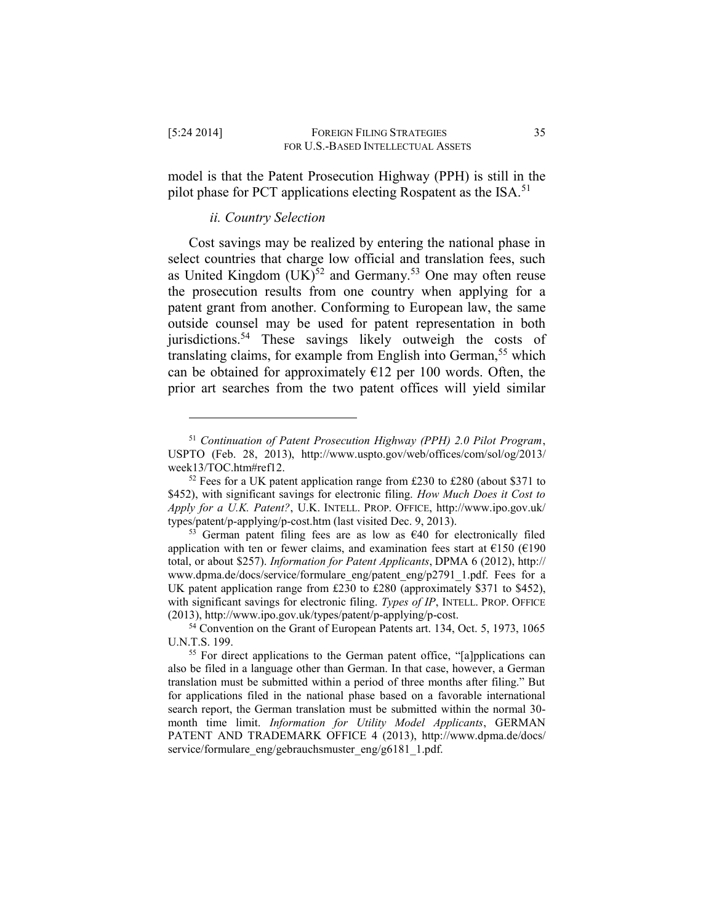model is that the Patent Prosecution Highway (PPH) is still in the pilot phase for PCT applications electing Rospatent as the ISA.<sup>51</sup>

## *ii. Country Selection*

 $\overline{a}$ 

Cost savings may be realized by entering the national phase in select countries that charge low official and translation fees, such as United Kingdom  $(UK)^{52}$  and Germany.<sup>53</sup> One may often reuse the prosecution results from one country when applying for a patent grant from another. Conforming to European law, the same outside counsel may be used for patent representation in both jurisdictions.<sup>54</sup> These savings likely outweigh the costs of translating claims, for example from English into German,<sup>55</sup> which can be obtained for approximately  $\epsilon$ 12 per 100 words. Often, the prior art searches from the two patent offices will yield similar

<sup>51</sup> *Continuation of Patent Prosecution Highway (PPH) 2.0 Pilot Program*, USPTO (Feb. 28, 2013), http://www.uspto.gov/web/offices/com/sol/og/2013/ week13/TOC.htm#ref12.

 $52$  Fees for a UK patent application range from £230 to £280 (about \$371 to \$452), with significant savings for electronic filing. *How Much Does it Cost to Apply for a U.K. Patent?*, U.K. INTELL. PROP. OFFICE, http://www.ipo.gov.uk/ types/patent/p-applying/p-cost.htm (last visited Dec. 9, 2013).

<sup>&</sup>lt;sup>53</sup> German patent filing fees are as low as  $\epsilon$ 40 for electronically filed application with ten or fewer claims, and examination fees start at  $\epsilon$ 150 ( $\epsilon$ 190 total, or about \$257). *Information for Patent Applicants*, DPMA 6 (2012), http:// www.dpma.de/docs/service/formulare\_eng/patent\_eng/p2791\_1.pdf. Fees for a UK patent application range from £230 to £280 (approximately \$371 to \$452), with significant savings for electronic filing. *Types of IP*, INTELL. PROP. OFFICE (2013), http://www.ipo.gov.uk/types/patent/p-applying/p-cost.

<sup>&</sup>lt;sup>54</sup> Convention on the Grant of European Patents art. 134, Oct. 5, 1973, 1065 U.N.T.S. 199.

<sup>&</sup>lt;sup>55</sup> For direct applications to the German patent office, "[a]pplications can also be filed in a language other than German. In that case, however, a German translation must be submitted within a period of three months after filing." But for applications filed in the national phase based on a favorable international search report, the German translation must be submitted within the normal 30 month time limit. *Information for Utility Model Applicants*, GERMAN PATENT AND TRADEMARK OFFICE 4 (2013), http://www.dpma.de/docs/ service/formulare\_eng/gebrauchsmuster\_eng/g6181\_1.pdf.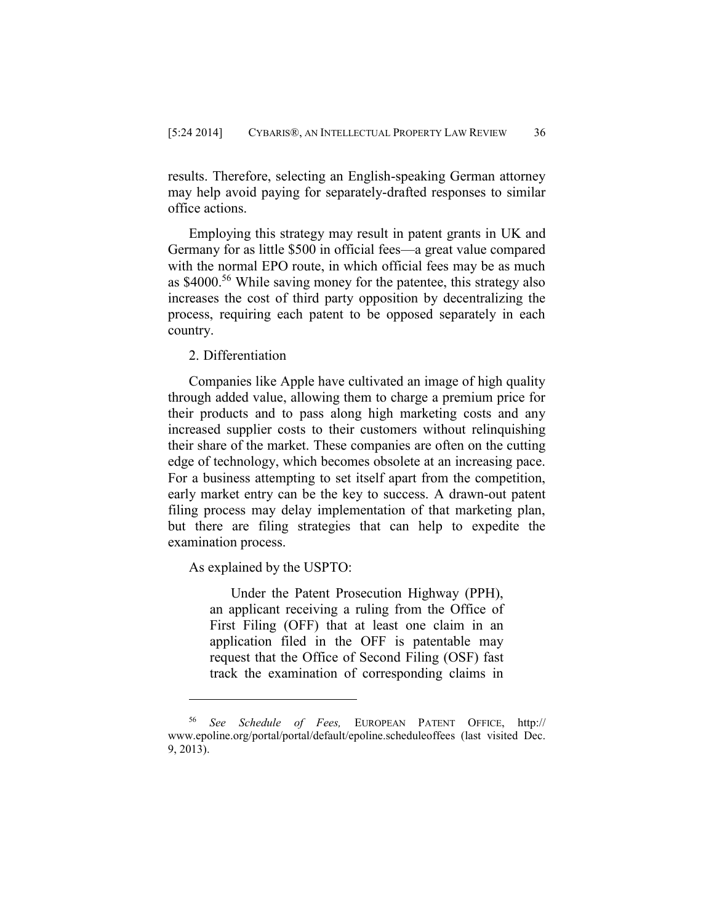results. Therefore, selecting an English-speaking German attorney may help avoid paying for separately-drafted responses to similar office actions.

Employing this strategy may result in patent grants in UK and Germany for as little \$500 in official fees—a great value compared with the normal EPO route, in which official fees may be as much as \$4000.<sup>56</sup> While saving money for the patentee, this strategy also increases the cost of third party opposition by decentralizing the process, requiring each patent to be opposed separately in each country.

2. Differentiation

Companies like Apple have cultivated an image of high quality through added value, allowing them to charge a premium price for their products and to pass along high marketing costs and any increased supplier costs to their customers without relinquishing their share of the market. These companies are often on the cutting edge of technology, which becomes obsolete at an increasing pace. For a business attempting to set itself apart from the competition, early market entry can be the key to success. A drawn-out patent filing process may delay implementation of that marketing plan, but there are filing strategies that can help to expedite the examination process.

As explained by the USPTO:

 $\overline{a}$ 

Under the Patent Prosecution Highway (PPH), an applicant receiving a ruling from the Office of First Filing (OFF) that at least one claim in an application filed in the OFF is patentable may request that the Office of Second Filing (OSF) fast track the examination of corresponding claims in

See Schedule of Fees, EUROPEAN PATENT OFFICE, http:// www.epoline.org/portal/portal/default/epoline.scheduleoffees (last visited Dec. 9, 2013).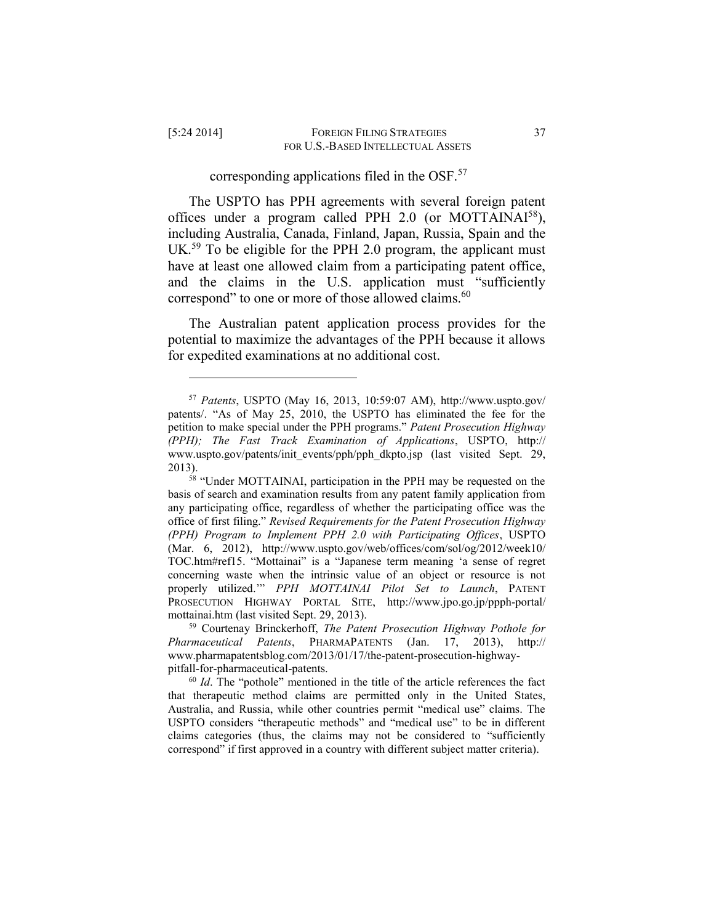$\overline{a}$ 

## corresponding applications filed in the OSF.<sup>57</sup>

The USPTO has PPH agreements with several foreign patent offices under a program called PPH 2.0 (or MOTTAINAI<sup>58</sup>), including Australia, Canada, Finland, Japan, Russia, Spain and the UK.<sup>59</sup> To be eligible for the PPH 2.0 program, the applicant must have at least one allowed claim from a participating patent office, and the claims in the U.S. application must "sufficiently correspond" to one or more of those allowed claims.<sup>60</sup>

The Australian patent application process provides for the potential to maximize the advantages of the PPH because it allows for expedited examinations at no additional cost.

<sup>57</sup> *Patents*, USPTO (May 16, 2013, 10:59:07 AM), http://www.uspto.gov/ patents/. "As of May 25, 2010, the USPTO has eliminated the fee for the petition to make special under the PPH programs." *Patent Prosecution Highway (PPH); The Fast Track Examination of Applications*, USPTO, http:// www.uspto.gov/patents/init\_events/pph/pph\_dkpto.jsp (last visited Sept. 29, 2013).

<sup>&</sup>lt;sup>58</sup> "Under MOTTAINAI, participation in the PPH may be requested on the basis of search and examination results from any patent family application from any participating office, regardless of whether the participating office was the office of first filing." *Revised Requirements for the Patent Prosecution Highway (PPH) Program to Implement PPH 2.0 with Participating Offices*, USPTO (Mar. 6, 2012), http://www.uspto.gov/web/offices/com/sol/og/2012/week10/ TOC.htm#ref15. "Mottainai" is a "Japanese term meaning 'a sense of regret concerning waste when the intrinsic value of an object or resource is not properly utilized.'" *PPH MOTTAINAI Pilot Set to Launch*, PATENT PROSECUTION HIGHWAY PORTAL SITE, http://www.jpo.go.jp/ppph-portal/ mottainai.htm (last visited Sept. 29, 2013).

<sup>59</sup> Courtenay Brinckerhoff, *The Patent Prosecution Highway Pothole for Pharmaceutical Patents*, PHARMAPATENTS (Jan. 17, 2013), http:// www.pharmapatentsblog.com/2013/01/17/the-patent-prosecution-highwaypitfall-for-pharmaceutical-patents.

<sup>60</sup> *Id*. The "pothole" mentioned in the title of the article references the fact that therapeutic method claims are permitted only in the United States, Australia, and Russia, while other countries permit "medical use" claims. The USPTO considers "therapeutic methods" and "medical use" to be in different claims categories (thus, the claims may not be considered to "sufficiently correspond" if first approved in a country with different subject matter criteria).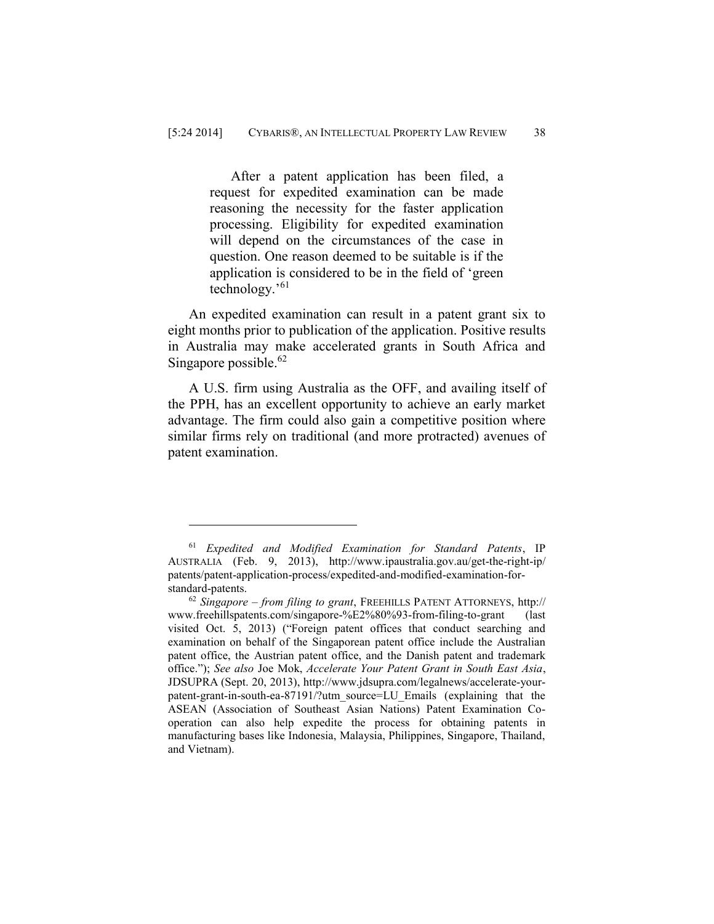After a patent application has been filed, a request for expedited examination can be made reasoning the necessity for the faster application processing. Eligibility for expedited examination will depend on the circumstances of the case in question. One reason deemed to be suitable is if the application is considered to be in the field of 'green technology.'<sup>61</sup>

An expedited examination can result in a patent grant six to eight months prior to publication of the application. Positive results in Australia may make accelerated grants in South Africa and Singapore possible. 62

A U.S. firm using Australia as the OFF, and availing itself of the PPH, has an excellent opportunity to achieve an early market advantage. The firm could also gain a competitive position where similar firms rely on traditional (and more protracted) avenues of patent examination.

<sup>61</sup> *Expedited and Modified Examination for Standard Patents*, IP AUSTRALIA (Feb. 9, 2013), http://www.ipaustralia.gov.au/get-the-right-ip/ patents/patent-application-process/expedited-and-modified-examination-forstandard-patents.

<sup>62</sup> *Singapore – from filing to grant*, FREEHILLS PATENT ATTORNEYS, http:// www.freehillspatents.com/singapore-%E2%80%93-from-filing-to-grant (last visited Oct. 5, 2013) ("Foreign patent offices that conduct searching and examination on behalf of the Singaporean patent office include the Australian patent office, the Austrian patent office, and the Danish patent and trademark office."); *See also* Joe Mok, *Accelerate Your Patent Grant in South East Asia*, JDSUPRA (Sept. 20, 2013), http://www.jdsupra.com/legalnews/accelerate-yourpatent-grant-in-south-ea-87191/?utm\_source=LU\_Emails (explaining that the ASEAN (Association of Southeast Asian Nations) Patent Examination Cooperation can also help expedite the process for obtaining patents in manufacturing bases like Indonesia, Malaysia, Philippines, Singapore, Thailand, and Vietnam).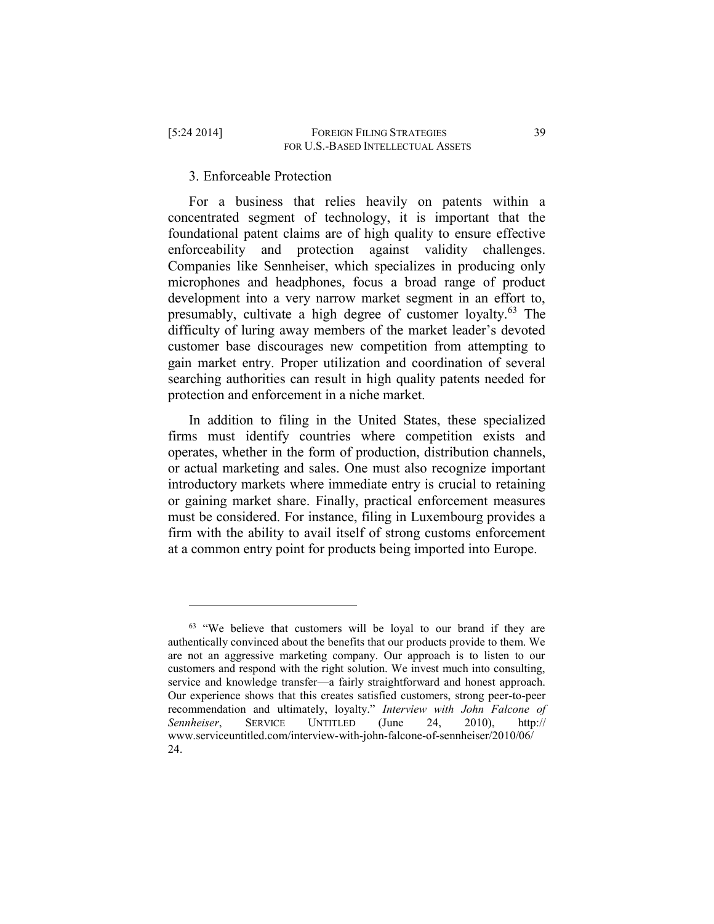$\overline{a}$ 

## 3. Enforceable Protection

For a business that relies heavily on patents within a concentrated segment of technology, it is important that the foundational patent claims are of high quality to ensure effective enforceability and protection against validity challenges. Companies like Sennheiser, which specializes in producing only microphones and headphones, focus a broad range of product development into a very narrow market segment in an effort to, presumably, cultivate a high degree of customer loyalty.<sup>63</sup> The difficulty of luring away members of the market leader's devoted customer base discourages new competition from attempting to gain market entry. Proper utilization and coordination of several searching authorities can result in high quality patents needed for protection and enforcement in a niche market.

In addition to filing in the United States, these specialized firms must identify countries where competition exists and operates, whether in the form of production, distribution channels, or actual marketing and sales. One must also recognize important introductory markets where immediate entry is crucial to retaining or gaining market share. Finally, practical enforcement measures must be considered. For instance, filing in Luxembourg provides a firm with the ability to avail itself of strong customs enforcement at a common entry point for products being imported into Europe.

 $63$  "We believe that customers will be loyal to our brand if they are authentically convinced about the benefits that our products provide to them. We are not an aggressive marketing company. Our approach is to listen to our customers and respond with the right solution. We invest much into consulting, service and knowledge transfer—a fairly straightforward and honest approach. Our experience shows that this creates satisfied customers, strong peer-to-peer recommendation and ultimately, loyalty." *Interview with John Falcone of Sennheiser*, SERVICE UNTITLED (June 24, 2010), http:// www.serviceuntitled.com/interview-with-john-falcone-of-sennheiser/2010/06/ 24.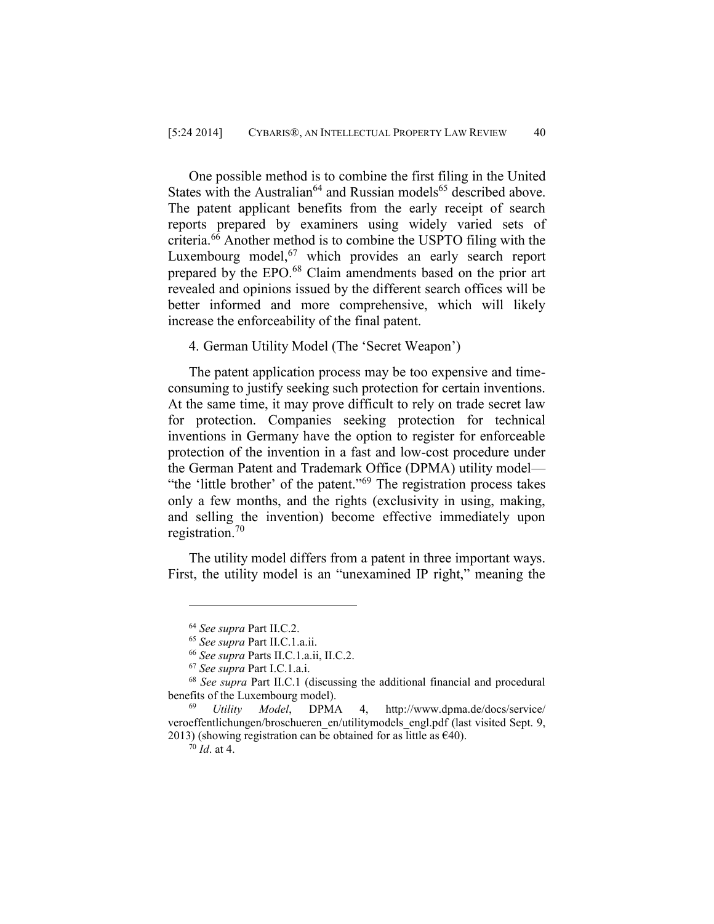One possible method is to combine the first filing in the United States with the Australian<sup>64</sup> and Russian models<sup>65</sup> described above. The patent applicant benefits from the early receipt of search reports prepared by examiners using widely varied sets of criteria.<sup>66</sup> Another method is to combine the USPTO filing with the Luxembourg model,<sup>67</sup> which provides an early search report prepared by the EPO.<sup>68</sup> Claim amendments based on the prior art revealed and opinions issued by the different search offices will be better informed and more comprehensive, which will likely increase the enforceability of the final patent.

4. German Utility Model (The 'Secret Weapon')

The patent application process may be too expensive and timeconsuming to justify seeking such protection for certain inventions. At the same time, it may prove difficult to rely on trade secret law for protection. Companies seeking protection for technical inventions in Germany have the option to register for enforceable protection of the invention in a fast and low-cost procedure under the German Patent and Trademark Office (DPMA) utility model— "the 'little brother' of the patent."<sup>69</sup> The registration process takes only a few months, and the rights (exclusivity in using, making, and selling the invention) become effective immediately upon registration.<sup>70</sup>

The utility model differs from a patent in three important ways. First, the utility model is an "unexamined IP right," meaning the

<sup>64</sup> *See supra* Part II.C.2.

<sup>65</sup> *See supra* Part II.C.1.a.ii.

<sup>66</sup> *See supra* Parts II.C.1.a.ii, II.C.2.

<sup>67</sup> *See supra* Part I.C.1.a.i.

<sup>68</sup> *See supra* Part II.C.1 (discussing the additional financial and procedural benefits of the Luxembourg model).

<sup>69</sup> *Utility Model*, DPMA 4, http://www.dpma.de/docs/service/ veroeffentlichungen/broschueren\_en/utilitymodels\_engl.pdf (last visited Sept. 9, 2013) (showing registration can be obtained for as little as  $\epsilon$ 40).

<sup>70</sup> *Id*. at 4.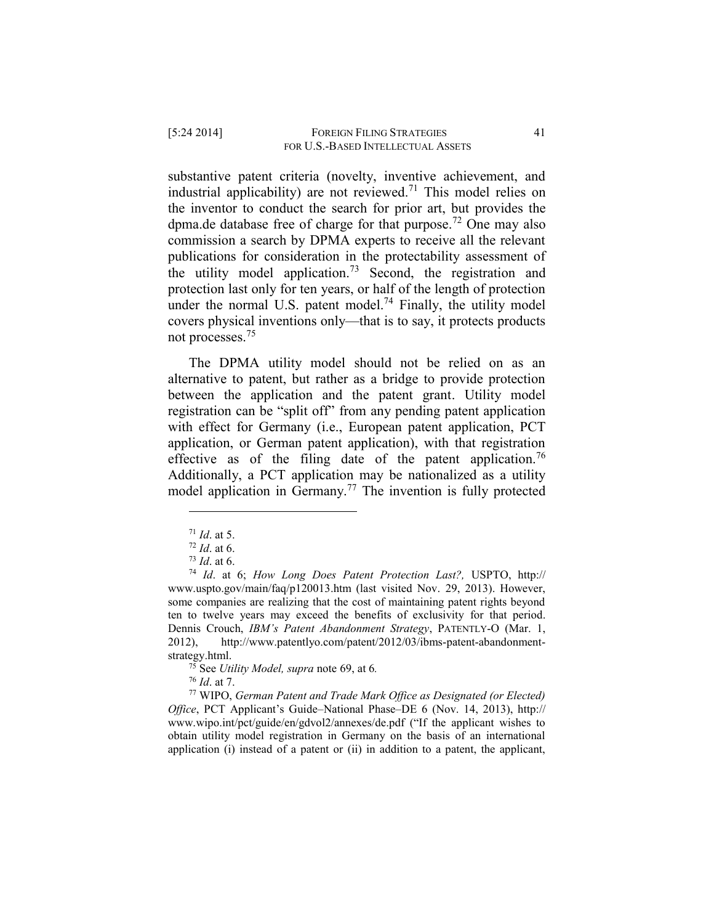substantive patent criteria (novelty, inventive achievement, and industrial applicability) are not reviewed.<sup>71</sup> This model relies on the inventor to conduct the search for prior art, but provides the dpma.de database free of charge for that purpose.<sup>72</sup> One may also commission a search by DPMA experts to receive all the relevant publications for consideration in the protectability assessment of the utility model application.<sup>73</sup> Second, the registration and protection last only for ten years, or half of the length of protection under the normal U.S. patent model.<sup>74</sup> Finally, the utility model covers physical inventions only—that is to say, it protects products not processes.<sup>75</sup>

The DPMA utility model should not be relied on as an alternative to patent, but rather as a bridge to provide protection between the application and the patent grant. Utility model registration can be "split off" from any pending patent application with effect for Germany (i.e., European patent application, PCT application, or German patent application), with that registration effective as of the filing date of the patent application.<sup>76</sup> Additionally, a PCT application may be nationalized as a utility model application in Germany.<sup>77</sup> The invention is fully protected

 $\overline{a}$ 

<sup>75</sup> See *Utility Model, supra* note 69, at 6*.* 

<sup>76</sup> *Id*. at 7.

<sup>77</sup> WIPO, *German Patent and Trade Mark Office as Designated (or Elected) Office*, PCT Applicant's Guide–National Phase–DE 6 (Nov. 14, 2013), http:// www.wipo.int/pct/guide/en/gdvol2/annexes/de.pdf ("If the applicant wishes to obtain utility model registration in Germany on the basis of an international application (i) instead of a patent or (ii) in addition to a patent, the applicant,

<sup>71</sup> *Id*. at 5.

<sup>72</sup> *Id*. at 6.

<sup>73</sup> *Id*. at 6.

<sup>74</sup> *Id*. at 6; *How Long Does Patent Protection Last?,* USPTO, http:// www.uspto.gov/main/faq/p120013.htm (last visited Nov. 29, 2013). However, some companies are realizing that the cost of maintaining patent rights beyond ten to twelve years may exceed the benefits of exclusivity for that period. Dennis Crouch, *IBM's Patent Abandonment Strategy*, PATENTLY-O (Mar. 1, 2012), http://www.patentlyo.com/patent/2012/03/ibms-patent-abandonmentstrategy.html.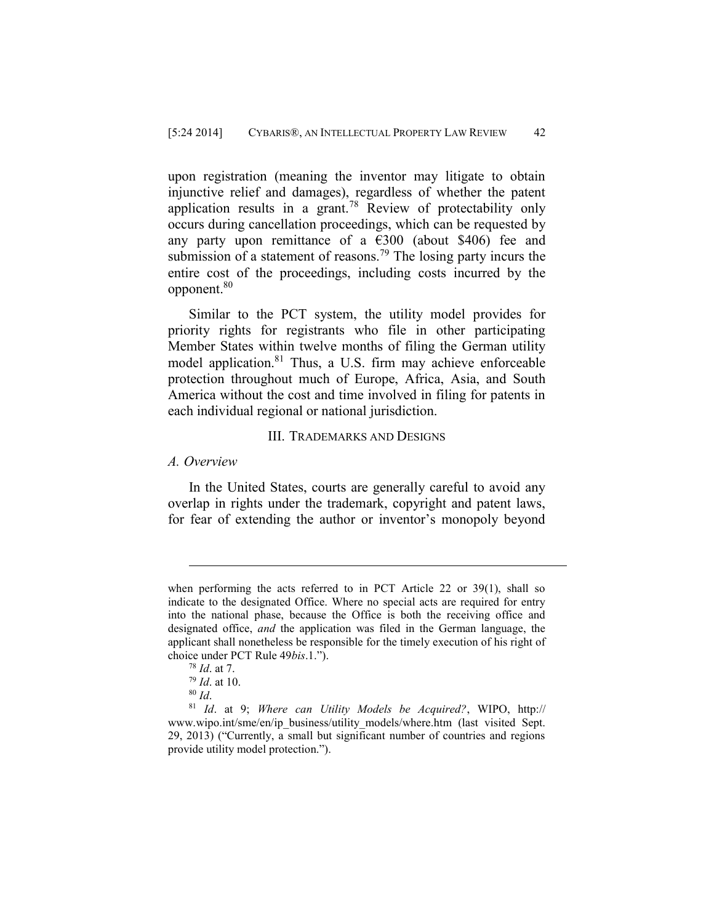upon registration (meaning the inventor may litigate to obtain injunctive relief and damages), regardless of whether the patent application results in a grant.<sup>78</sup> Review of protectability only occurs during cancellation proceedings, which can be requested by any party upon remittance of a  $\epsilon$ 300 (about \$406) fee and submission of a statement of reasons.<sup>79</sup> The losing party incurs the entire cost of the proceedings, including costs incurred by the opponent.<sup>80</sup>

Similar to the PCT system, the utility model provides for priority rights for registrants who file in other participating Member States within twelve months of filing the German utility model application.<sup>81</sup> Thus, a U.S. firm may achieve enforceable protection throughout much of Europe, Africa, Asia, and South America without the cost and time involved in filing for patents in each individual regional or national jurisdiction.

#### III. TRADEMARKS AND DESIGNS

#### *A. Overview*

 $\overline{a}$ 

In the United States, courts are generally careful to avoid any overlap in rights under the trademark, copyright and patent laws, for fear of extending the author or inventor's monopoly beyond

when performing the acts referred to in PCT Article 22 or 39(1), shall so indicate to the designated Office. Where no special acts are required for entry into the national phase, because the Office is both the receiving office and designated office, *and* the application was filed in the German language, the applicant shall nonetheless be responsible for the timely execution of his right of choice under PCT Rule 49*bis*.1.").

<sup>78</sup> *Id*. at 7.

<sup>79</sup> *Id*. at 10.

<sup>80</sup> *Id*.

<sup>81</sup> *Id*. at 9; *Where can Utility Models be Acquired?*, WIPO, http:// www.wipo.int/sme/en/ip\_business/utility\_models/where.htm (last visited Sept.) 29, 2013) ("Currently, a small but significant number of countries and regions provide utility model protection.").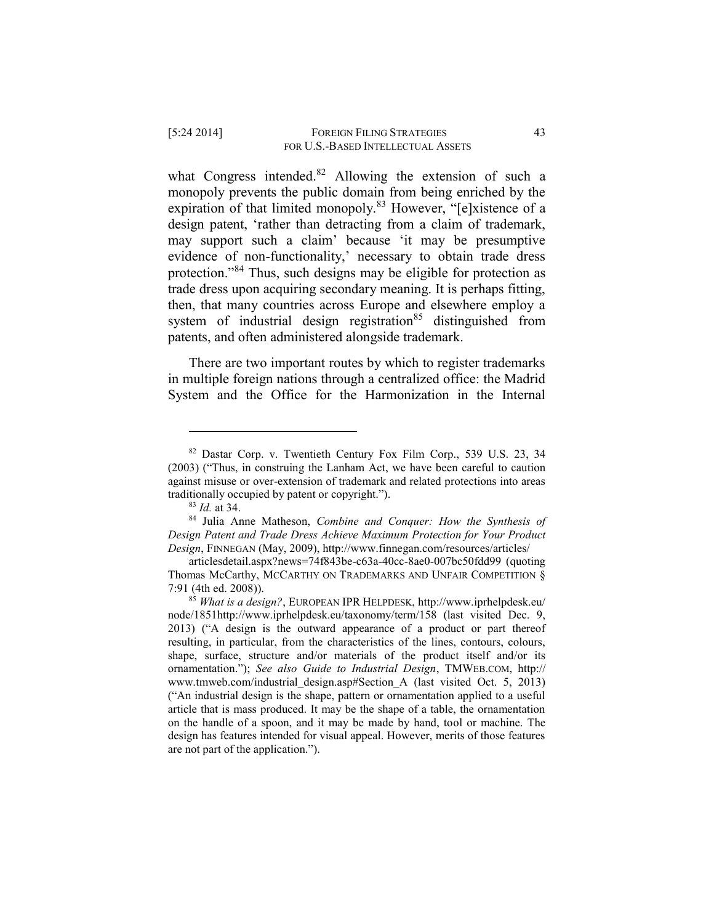what Congress intended.<sup>82</sup> Allowing the extension of such a monopoly prevents the public domain from being enriched by the expiration of that limited monopoly.<sup>83</sup> However, "[e]xistence of a design patent, 'rather than detracting from a claim of trademark, may support such a claim' because 'it may be presumptive evidence of non-functionality,' necessary to obtain trade dress protection."<sup>84</sup> Thus, such designs may be eligible for protection as trade dress upon acquiring secondary meaning. It is perhaps fitting, then, that many countries across Europe and elsewhere employ a system of industrial design registration<sup>85</sup> distinguished from patents, and often administered alongside trademark.

There are two important routes by which to register trademarks in multiple foreign nations through a centralized office: the Madrid System and the Office for the Harmonization in the Internal

<sup>82</sup> Dastar Corp. v. Twentieth Century Fox Film Corp., 539 U.S. 23, 34 (2003) ("Thus, in construing the Lanham Act, we have been careful to caution against misuse or over-extension of trademark and related protections into areas traditionally occupied by patent or copyright.").

<sup>83</sup> *Id.* at 34.

<sup>84</sup> Julia Anne Matheson, *Combine and Conquer: How the Synthesis of Design Patent and Trade Dress Achieve Maximum Protection for Your Product Design*, FINNEGAN (May, 2009), http://www.finnegan.com/resources/articles/

articlesdetail.aspx?news=74f843be-c63a-40cc-8ae0-007bc50fdd99 (quoting Thomas McCarthy, MCCARTHY ON TRADEMARKS AND UNFAIR COMPETITION § 7:91 (4th ed. 2008)).

<sup>85</sup> *What is a design?*, EUROPEAN IPR HELPDESK, http://www.iprhelpdesk.eu/ node/1851http://www.iprhelpdesk.eu/taxonomy/term/158 (last visited Dec. 9, 2013) ("A design is the outward appearance of a product or part thereof resulting, in particular, from the characteristics of the lines, contours, colours, shape, surface, structure and/or materials of the product itself and/or its ornamentation."); *See also Guide to Industrial Design*, TMWEB.COM, http:// www.tmweb.com/industrial\_design.asp#Section\_A (last visited Oct. 5, 2013) ("An industrial design is the shape, pattern or ornamentation applied to a useful article that is mass produced. It may be the shape of a table, the ornamentation on the handle of a spoon, and it may be made by hand, tool or machine. The design has features intended for visual appeal. However, merits of those features are not part of the application.").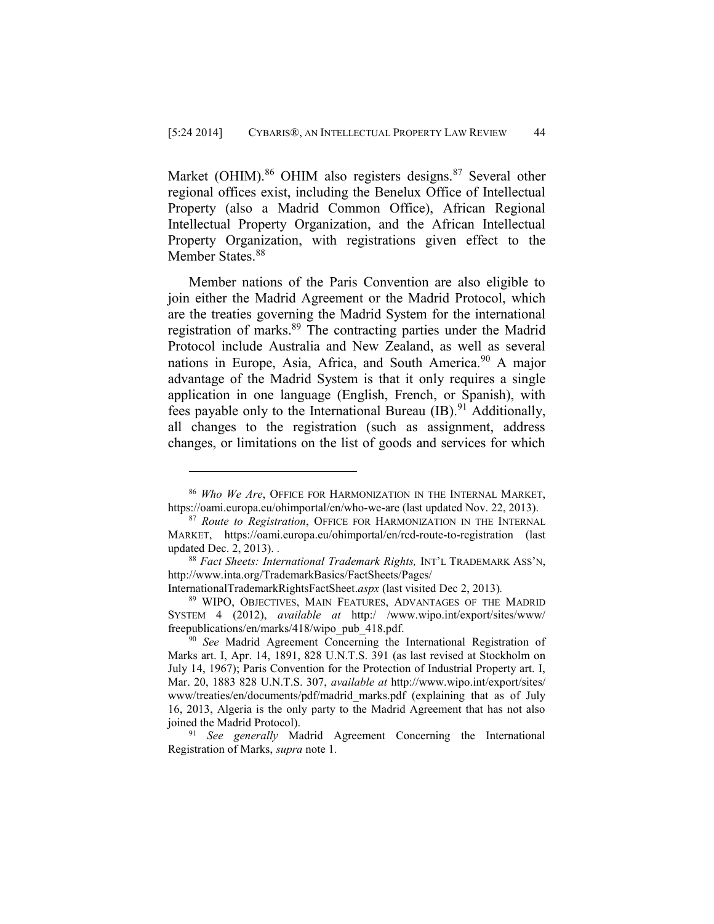Market (OHIM).<sup>86</sup> OHIM also registers designs.<sup>87</sup> Several other regional offices exist, including the Benelux Office of Intellectual Property (also a Madrid Common Office), African Regional Intellectual Property Organization, and the African Intellectual Property Organization, with registrations given effect to the Member States.<sup>88</sup>

Member nations of the Paris Convention are also eligible to join either the Madrid Agreement or the Madrid Protocol, which are the treaties governing the Madrid System for the international registration of marks.<sup>89</sup> The contracting parties under the Madrid Protocol include Australia and New Zealand, as well as several nations in Europe, Asia, Africa, and South America.<sup>90</sup> A major advantage of the Madrid System is that it only requires a single application in one language (English, French, or Spanish), with fees payable only to the International Bureau  $(IB)^{91}$  Additionally, all changes to the registration (such as assignment, address changes, or limitations on the list of goods and services for which

<sup>86</sup> *Who We Are*, OFFICE FOR HARMONIZATION IN THE INTERNAL MARKET, https://oami.europa.eu/ohimportal/en/who-we-are (last updated Nov. 22, 2013).

<sup>87</sup> *Route to Registration*, OFFICE FOR HARMONIZATION IN THE INTERNAL MARKET, https://oami.europa.eu/ohimportal/en/rcd-route-to-registration (last updated Dec. 2, 2013). *.* 

<sup>88</sup> *Fact Sheets: International Trademark Rights,* INT'L TRADEMARK ASS'N, http://www.inta.org/TrademarkBasics/FactSheets/Pages/

InternationalTrademarkRightsFactSheet.*aspx* (last visited Dec 2, 2013)*.*

<sup>89</sup> WIPO, OBJECTIVES, MAIN FEATURES, ADVANTAGES OF THE MADRID SYSTEM 4 (2012), *available at* http:/ /www.wipo.int/export/sites/www/ freepublications/en/marks/418/wipo\_pub\_418.pdf.

<sup>&</sup>lt;sup>90</sup> See Madrid Agreement Concerning the International Registration of Marks art. I, Apr. 14, 1891, 828 U.N.T.S. 391 (as last revised at Stockholm on July 14, 1967); Paris Convention for the Protection of Industrial Property art. I, Mar. 20, 1883 828 U.N.T.S. 307, *available at* http://www.wipo.int/export/sites/ www/treaties/en/documents/pdf/madrid\_marks.pdf (explaining that as of July 16, 2013, Algeria is the only party to the Madrid Agreement that has not also joined the Madrid Protocol).

<sup>91</sup> *See generally* Madrid Agreement Concerning the International Registration of Marks, *supra* note 1*.*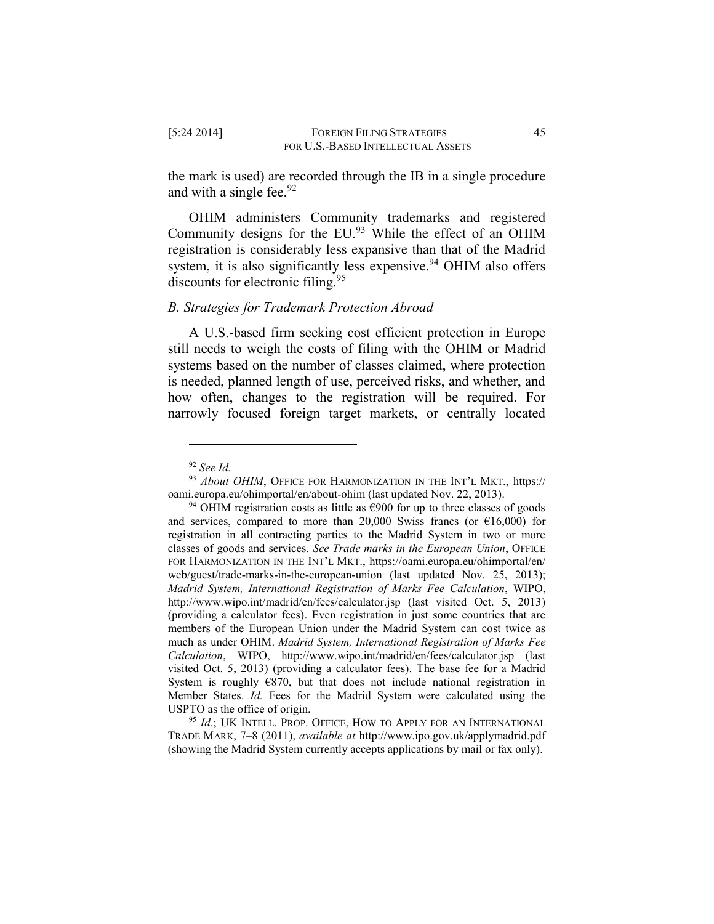the mark is used) are recorded through the IB in a single procedure and with a single fee.  $92$ 

OHIM administers Community trademarks and registered Community designs for the EU.<sup>93</sup> While the effect of an OHIM registration is considerably less expansive than that of the Madrid system, it is also significantly less expensive.<sup>94</sup> OHIM also offers discounts for electronic filing.<sup>95</sup>

## *B. Strategies for Trademark Protection Abroad*

A U.S.-based firm seeking cost efficient protection in Europe still needs to weigh the costs of filing with the OHIM or Madrid systems based on the number of classes claimed, where protection is needed, planned length of use, perceived risks, and whether, and how often, changes to the registration will be required. For narrowly focused foreign target markets, or centrally located

<sup>92</sup> *See Id.*

<sup>93</sup> *About OHIM*, OFFICE FOR HARMONIZATION IN THE INT'L MKT., https:// oami.europa.eu/ohimportal/en/about-ohim (last updated Nov. 22, 2013).

<sup>&</sup>lt;sup>94</sup> OHIM registration costs as little as  $\epsilon$ 900 for up to three classes of goods and services, compared to more than 20,000 Swiss francs (or  $\epsilon$ 16,000) for registration in all contracting parties to the Madrid System in two or more classes of goods and services. *See Trade marks in the European Union*, OFFICE FOR HARMONIZATION IN THE INT'L MKT., https://oami.europa.eu/ohimportal/en/ web/guest/trade-marks-in-the-european-union (last updated Nov. 25, 2013); *Madrid System, International Registration of Marks Fee Calculation*, WIPO, http://www.wipo.int/madrid/en/fees/calculator.jsp (last visited Oct. 5, 2013) (providing a calculator fees). Even registration in just some countries that are members of the European Union under the Madrid System can cost twice as much as under OHIM. *Madrid System, International Registration of Marks Fee Calculation*, WIPO, http://www.wipo.int/madrid/en/fees/calculator.jsp (last visited Oct. 5, 2013) (providing a calculator fees). The base fee for a Madrid System is roughly  $E$ 870, but that does not include national registration in Member States. *Id.* Fees for the Madrid System were calculated using the USPTO as the office of origin.

<sup>&</sup>lt;sup>95</sup> *Id.*; UK INTELL. PROP. OFFICE, HOW TO APPLY FOR AN INTERNATIONAL TRADE MARK, 7–8 (2011), *available at* http://www.ipo.gov.uk/applymadrid.pdf (showing the Madrid System currently accepts applications by mail or fax only).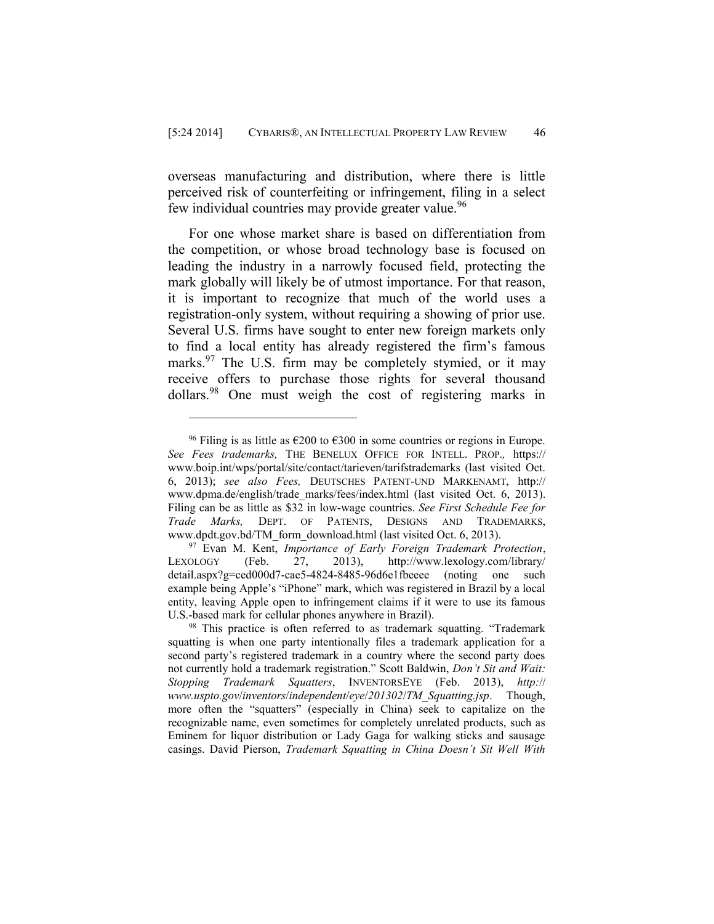overseas manufacturing and distribution, where there is little perceived risk of counterfeiting or infringement, filing in a select few individual countries may provide greater value.<sup>96</sup>

For one whose market share is based on differentiation from the competition, or whose broad technology base is focused on leading the industry in a narrowly focused field, protecting the mark globally will likely be of utmost importance. For that reason, it is important to recognize that much of the world uses a registration-only system, without requiring a showing of prior use. Several U.S. firms have sought to enter new foreign markets only to find a local entity has already registered the firm's famous marks.<sup>97</sup> The U.S. firm may be completely stymied, or it may receive offers to purchase those rights for several thousand dollars.<sup>98</sup> One must weigh the cost of registering marks in

<sup>&</sup>lt;sup>96</sup> Filing is as little as  $\epsilon$ 200 to  $\epsilon$ 300 in some countries or regions in Europe. *See Fees trademarks,* THE BENELUX OFFICE FOR INTELL. PROP.*,* https:// www.boip.int/wps/portal/site/contact/tarieven/tarifstrademarks (last visited Oct. 6, 2013); *see also Fees,* DEUTSCHES PATENT-UND MARKENAMT, http:// www.dpma.de/english/trade\_marks/fees/index.html (last\_visited Oct. 6, 2013). Filing can be as little as \$32 in low-wage countries. *See First Schedule Fee for Trade Marks,* DEPT. OF PATENTS, DESIGNS AND TRADEMARKS, www.dpdt.gov.bd/TM\_form\_download.html (last visited Oct. 6, 2013).

<sup>&</sup>lt;sup>97</sup> Evan M. Kent, *Importance of Early Foreign Trademark Protection*,<br>OLOGY (Feb. 27, 2013), http://www.lexology.com/library/ LEXOLOGY (Feb. 27, 2013), http://www.lexology.com/library/ detail.aspx?g=ced000d7-cae5-4824-8485-96d6e1fbeeee (noting one such example being Apple's "iPhone" mark, which was registered in Brazil by a local entity, leaving Apple open to infringement claims if it were to use its famous U.S.-based mark for cellular phones anywhere in Brazil).

<sup>&</sup>lt;sup>98</sup> This practice is often referred to as trademark squatting. "Trademark squatting is when one party intentionally files a trademark application for a second party's registered trademark in a country where the second party does not currently hold a trademark registration." Scott Baldwin, *Don't Sit and Wait: Stopping Trademark Squatters*, INVENTORSEYE (Feb. 2013), *http:*// *www.uspto.gov*/*inventors*/*independent*/*eye*/*201302*/*TM\_Squatting.jsp*. Though, more often the "squatters" (especially in China) seek to capitalize on the recognizable name, even sometimes for completely unrelated products, such as Eminem for liquor distribution or Lady Gaga for walking sticks and sausage casings. David Pierson, *Trademark Squatting in China Doesn't Sit Well With*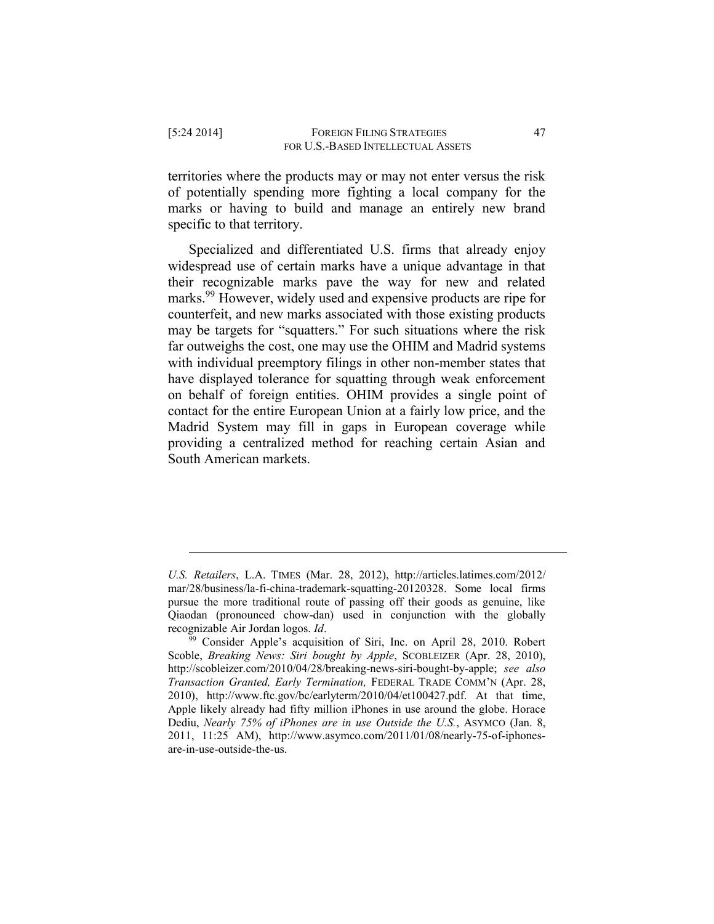territories where the products may or may not enter versus the risk of potentially spending more fighting a local company for the marks or having to build and manage an entirely new brand specific to that territory.

Specialized and differentiated U.S. firms that already enjoy widespread use of certain marks have a unique advantage in that their recognizable marks pave the way for new and related marks.<sup>99</sup> However, widely used and expensive products are ripe for counterfeit, and new marks associated with those existing products may be targets for "squatters." For such situations where the risk far outweighs the cost, one may use the OHIM and Madrid systems with individual preemptory filings in other non-member states that have displayed tolerance for squatting through weak enforcement on behalf of foreign entities. OHIM provides a single point of contact for the entire European Union at a fairly low price, and the Madrid System may fill in gaps in European coverage while providing a centralized method for reaching certain Asian and South American markets.

*U.S. Retailers*, L.A. TIMES (Mar. 28, 2012), http://articles.latimes.com/2012/ mar/28/business/la-fi-china-trademark-squatting-20120328. Some local firms pursue the more traditional route of passing off their goods as genuine, like Qiaodan (pronounced chow-dan) used in conjunction with the globally recognizable Air Jordan logos. *Id*.

<sup>&</sup>lt;sup>99</sup> Consider Apple's acquisition of Siri, Inc. on April 28, 2010. Robert Scoble, *Breaking News: Siri bought by Apple*, SCOBLEIZER (Apr. 28, 2010), [http://scobleizer.com/2010/04/28/breaking-news-siri-bought-by-apple;](http://‌/‌scobleizer.com/‌2010/‌04/‌28/‌breaking-news-siri-bought-by-apple) *see also Transaction Granted, Early Termination,* FEDERAL TRADE COMM'N (Apr. 28, 2010), http://www.ftc.gov/bc/earlyterm/2010/04/et100427.pdf. At that time, Apple likely already had fifty million iPhones in use around the globe. Horace Dediu, *Nearly 75% of iPhones are in use Outside the U.S.*, ASYMCO (Jan. 8, 2011, 11:25 AM), http://www.asymco.com/2011/01/08/nearly-75-of-iphonesare-in-use-outside-the-us.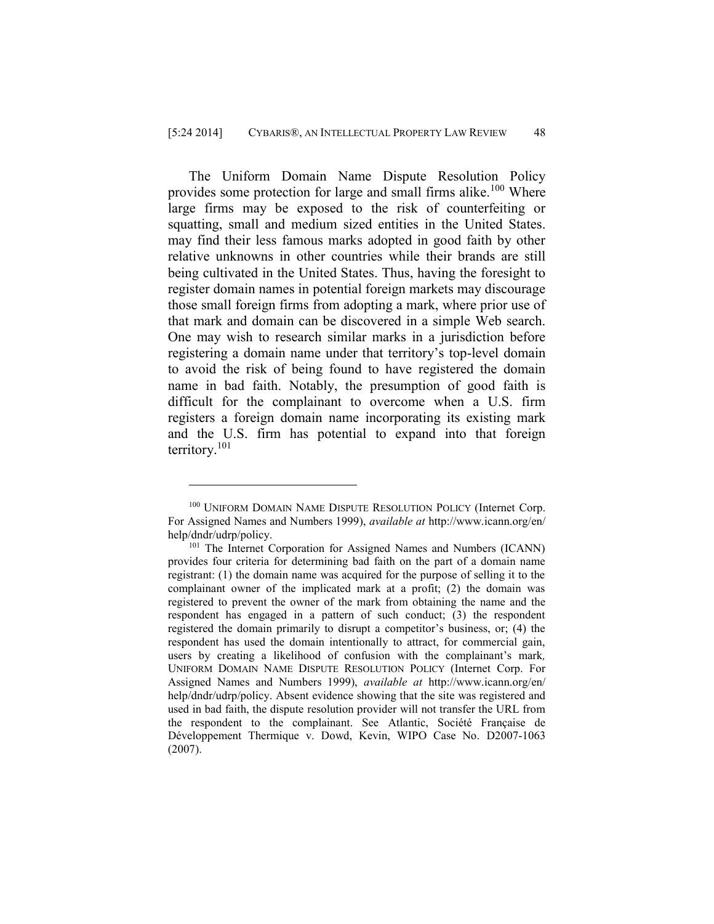The Uniform Domain Name Dispute Resolution Policy provides some protection for large and small firms alike.<sup>100</sup> Where large firms may be exposed to the risk of counterfeiting or squatting, small and medium sized entities in the United States. may find their less famous marks adopted in good faith by other relative unknowns in other countries while their brands are still being cultivated in the United States. Thus, having the foresight to register domain names in potential foreign markets may discourage those small foreign firms from adopting a mark, where prior use of that mark and domain can be discovered in a simple Web search. One may wish to research similar marks in a jurisdiction before registering a domain name under that territory's top-level domain to avoid the risk of being found to have registered the domain name in bad faith. Notably, the presumption of good faith is difficult for the complainant to overcome when a U.S. firm registers a foreign domain name incorporating its existing mark and the U.S. firm has potential to expand into that foreign territory.<sup>101</sup>

<sup>100</sup> UNIFORM DOMAIN NAME DISPUTE RESOLUTION POLICY (Internet Corp. For Assigned Names and Numbers 1999), *available at* http://www.icann.org/en/ help/dndr/udrp/policy.

<sup>&</sup>lt;sup>101</sup> The Internet Corporation for Assigned Names and Numbers (ICANN) provides four criteria for determining bad faith on the part of a domain name registrant: (1) the domain name was acquired for the purpose of selling it to the complainant owner of the implicated mark at a profit; (2) the domain was registered to prevent the owner of the mark from obtaining the name and the respondent has engaged in a pattern of such conduct; (3) the respondent registered the domain primarily to disrupt a competitor's business, or; (4) the respondent has used the domain intentionally to attract, for commercial gain, users by creating a likelihood of confusion with the complainant's mark*,*  UNIFORM DOMAIN NAME DISPUTE RESOLUTION POLICY (Internet Corp. For Assigned Names and Numbers 1999), *available at* http://www.icann.org/en/ help/dndr/udrp/policy. Absent evidence showing that the site was registered and used in bad faith, the dispute resolution provider will not transfer the URL from the respondent to the complainant. See Atlantic, Société Française de Développement Thermique v. Dowd, Kevin, WIPO Case No. D2007-1063 (2007).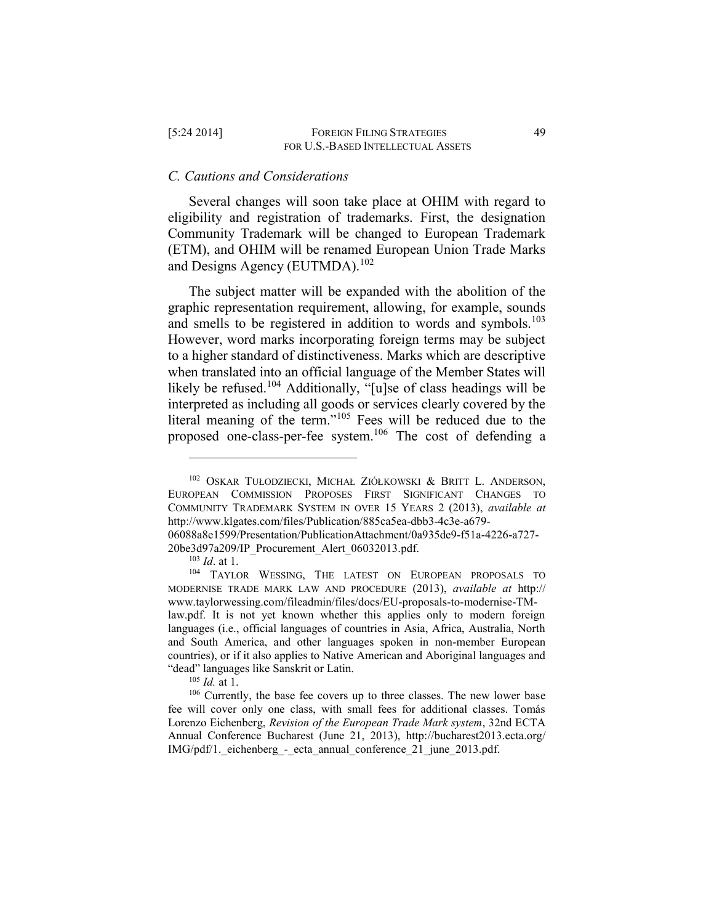#### *C. Cautions and Considerations*

Several changes will soon take place at OHIM with regard to eligibility and registration of trademarks. First, the designation Community Trademark will be changed to European Trademark (ETM), and OHIM will be renamed European Union Trade Marks and Designs Agency (EUTMDA).<sup>102</sup>

The subject matter will be expanded with the abolition of the graphic representation requirement, allowing, for example, sounds and smells to be registered in addition to words and symbols.<sup>103</sup> However, word marks incorporating foreign terms may be subject to a higher standard of distinctiveness. Marks which are descriptive when translated into an official language of the Member States will likely be refused.<sup>104</sup> Additionally, "[u]se of class headings will be interpreted as including all goods or services clearly covered by the literal meaning of the term."<sup>105</sup> Fees will be reduced due to the proposed one-class-per-fee system.<sup>106</sup> The cost of defending a

<sup>102</sup> OSKAR TUŁODZIECKI, MICHAŁ ZIÓŁKOWSKI & BRITT L. ANDERSON, EUROPEAN COMMISSION PROPOSES FIRST SIGNIFICANT CHANGES TO COMMUNITY TRADEMARK SYSTEM IN OVER 15 YEARS 2 (2013), *available at*  http://www.klgates.com/files/Publication/885ca5ea-dbb3-4c3e-a679- 06088a8e1599/Presentation/PublicationAttachment/0a935de9-f51a-4226-a727-

<sup>20</sup>be3d97a209/IP\_Procurement\_Alert\_06032013.pdf.

<sup>103</sup> *Id*. at 1.

<sup>104</sup> TAYLOR WESSING, THE LATEST ON EUROPEAN PROPOSALS TO MODERNISE TRADE MARK LAW AND PROCEDURE (2013), *available at* http:// www.taylorwessing.com/fileadmin/files/docs/EU-proposals-to-modernise-TMlaw.pdf. It is not yet known whether this applies only to modern foreign languages (i.e., official languages of countries in Asia, Africa, Australia, North and South America, and other languages spoken in non-member European countries), or if it also applies to Native American and Aboriginal languages and "dead" languages like Sanskrit or Latin.

<sup>105</sup> *Id.* at 1.

<sup>106</sup> Currently, the base fee covers up to three classes. The new lower base fee will cover only one class, with small fees for additional classes. Tomás Lorenzo Eichenberg, *Revision of the European Trade Mark system*, 32nd ECTA Annual Conference Bucharest (June 21, 2013), http://bucharest2013.ecta.org/ IMG/pdf/1. eichenberg - ecta\_annual\_conference\_21\_june\_2013.pdf.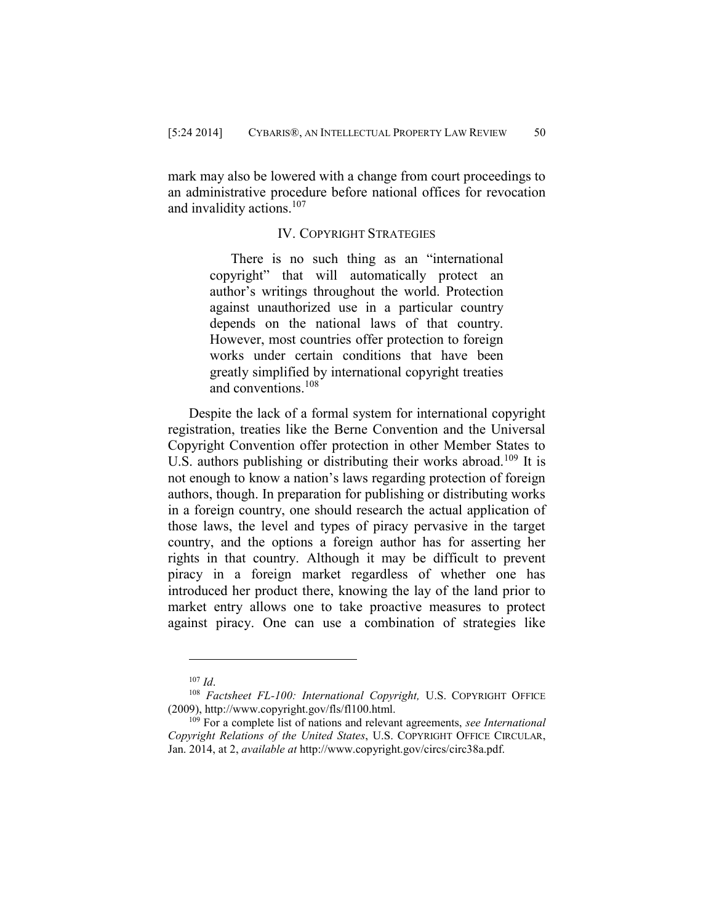mark may also be lowered with a change from court proceedings to an administrative procedure before national offices for revocation and invalidity actions.<sup>107</sup>

## IV. COPYRIGHT STRATEGIES

There is no such thing as an "international copyright" that will automatically protect an author's writings throughout the world. Protection against unauthorized use in a particular country depends on the national laws of that country. However, most countries offer protection to foreign works under certain conditions that have been greatly simplified by international copyright treaties and conventions.<sup>108</sup>

Despite the lack of a formal system for international copyright registration, treaties like the Berne Convention and the Universal Copyright Convention offer protection in other Member States to U.S. authors publishing or distributing their works abroad.<sup>109</sup> It is not enough to know a nation's laws regarding protection of foreign authors, though. In preparation for publishing or distributing works in a foreign country, one should research the actual application of those laws, the level and types of piracy pervasive in the target country, and the options a foreign author has for asserting her rights in that country. Although it may be difficult to prevent piracy in a foreign market regardless of whether one has introduced her product there, knowing the lay of the land prior to market entry allows one to take proactive measures to protect against piracy. One can use a combination of strategies like

<sup>107</sup> *Id*.

<sup>108</sup> *Factsheet FL-100: International Copyright,* U.S. COPYRIGHT OFFICE (2009), http://www.copyright.gov/fls/fl100.html.

<sup>109</sup> For a complete list of nations and relevant agreements, *see International Copyright Relations of the United States*, U.S. COPYRIGHT OFFICE CIRCULAR, Jan. 2014, at 2, *available at* http://www.copyright.gov/circs/circ38a.pdf.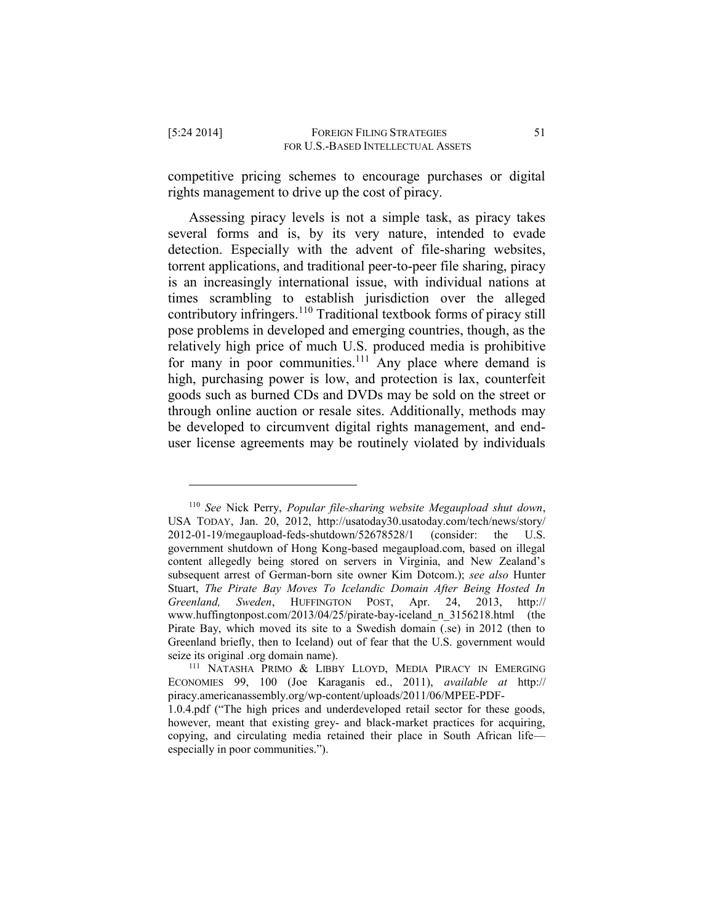$\overline{a}$ 

competitive pricing schemes to encourage purchases or digital rights management to drive up the cost of piracy.

Assessing piracy levels is not a simple task, as piracy takes several forms and is, by its very nature, intended to evade detection. Especially with the advent of file-sharing websites, torrent applications, and traditional peer-to-peer file sharing, piracy is an increasingly international issue, with individual nations at times scrambling to establish jurisdiction over the alleged contributory infringers.<sup>110</sup> Traditional textbook forms of piracy still pose problems in developed and emerging countries, though, as the relatively high price of much U.S. produced media is prohibitive for many in poor communities.<sup>111</sup> Any place where demand is high, purchasing power is low, and protection is lax, counterfeit goods such as burned CDs and DVDs may be sold on the street or through online auction or resale sites. Additionally, methods may be developed to circumvent digital rights management, and enduser license agreements may be routinely violated by individuals

<sup>110</sup> *See* Nick Perry, *Popular file-sharing website Megaupload shut down*, USA TODAY, Jan. 20, 2012, http://usatoday30.usatoday.com/tech/news/story/ 2012-01-19/megaupload-feds-shutdown/52678528/1 (consider: the U.S. government shutdown of Hong Kong-based megaupload.com, based on illegal content allegedly being stored on servers in Virginia, and New Zealand's subsequent arrest of German-born site owner Kim Dotcom.); *see also* Hunter Stuart, *The Pirate Bay Moves To Icelandic Domain After Being Hosted In Greenland, Sweden*, HUFFINGTON POST, Apr. 24, 2013, http:// www.huffingtonpost.com/2013/04/25/pirate-bay-iceland\_n\_3156218.html (the Pirate Bay, which moved its site to a Swedish domain (.se) in 2012 (then to Greenland briefly, then to Iceland) out of fear that the U.S. government would seize its original .org domain name).

<sup>111</sup> NATASHA PRIMO & LIBBY LLOYD, MEDIA PIRACY IN EMERGING ECONOMIES 99, 100 (Joe Karaganis ed., 2011), *available at* http:// piracy.americanassembly.org/wp-content/uploads/2011/06/MPEE-PDF-

<sup>1.0.4.</sup>pdf ("The high prices and underdeveloped retail sector for these goods, however, meant that existing grey- and black-market practices for acquiring, copying, and circulating media retained their place in South African life especially in poor communities.").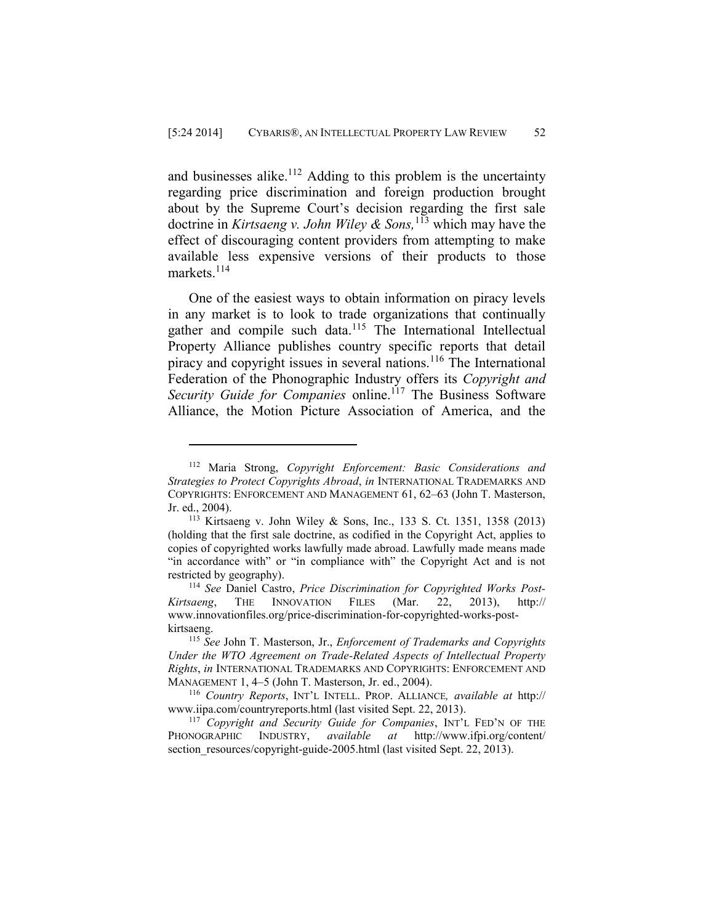and businesses alike.<sup>112</sup> Adding to this problem is the uncertainty regarding price discrimination and foreign production brought about by the Supreme Court's decision regarding the first sale doctrine in *Kirtsaeng v. John Wiley & Sons,*<sup>113</sup> which may have the effect of discouraging content providers from attempting to make available less expensive versions of their products to those markets. $^{114}$ 

One of the easiest ways to obtain information on piracy levels in any market is to look to trade organizations that continually gather and compile such data.<sup>115</sup> The International Intellectual Property Alliance publishes country specific reports that detail piracy and copyright issues in several nations.<sup>116</sup> The International Federation of the Phonographic Industry offers its *Copyright and Security Guide for Companies online.*<sup>117</sup> The Business Software Alliance, the Motion Picture Association of America, and the

<sup>112</sup> Maria Strong, *Copyright Enforcement: Basic Considerations and Strategies to Protect Copyrights Abroad*, *in* INTERNATIONAL TRADEMARKS AND COPYRIGHTS: ENFORCEMENT AND MANAGEMENT 61, 62–63 (John T. Masterson, Jr. ed., 2004).

<sup>113</sup> Kirtsaeng v. John Wiley & Sons, Inc., 133 S. Ct. 1351, 1358 (2013) (holding that the first sale doctrine, as codified in the Copyright Act, applies to copies of copyrighted works lawfully made abroad. Lawfully made means made "in accordance with" or "in compliance with" the Copyright Act and is not restricted by geography).

<sup>114</sup> *See* Daniel Castro, *Price Discrimination for Copyrighted Works Post-Kirtsaeng*, THE INNOVATION FILES (Mar. 22, 2013), http:// www.innovationfiles.org/price-discrimination-for-copyrighted-works-postkirtsaeng.

<sup>115</sup> *See* John T. Masterson, Jr., *Enforcement of Trademarks and Copyrights Under the WTO Agreement on Trade-Related Aspects of Intellectual Property Rights*, *in* INTERNATIONAL TRADEMARKS AND COPYRIGHTS: ENFORCEMENT AND MANAGEMENT 1, 4–5 (John T. Masterson, Jr. ed., 2004).

<sup>116</sup> *Country Reports*, INT'L INTELL. PROP. ALLIANCE*, available at* http:// www.iipa.com/countryreports.html (last visited Sept. 22, 2013).

<sup>117</sup> *Copyright and Security Guide for Companies*, INT'L FED'N OF THE PHONOGRAPHIC INDUSTRY, *available at* http://www.ifpi.org/content/ section\_resources/copyright-guide-2005.html (last visited Sept. 22, 2013).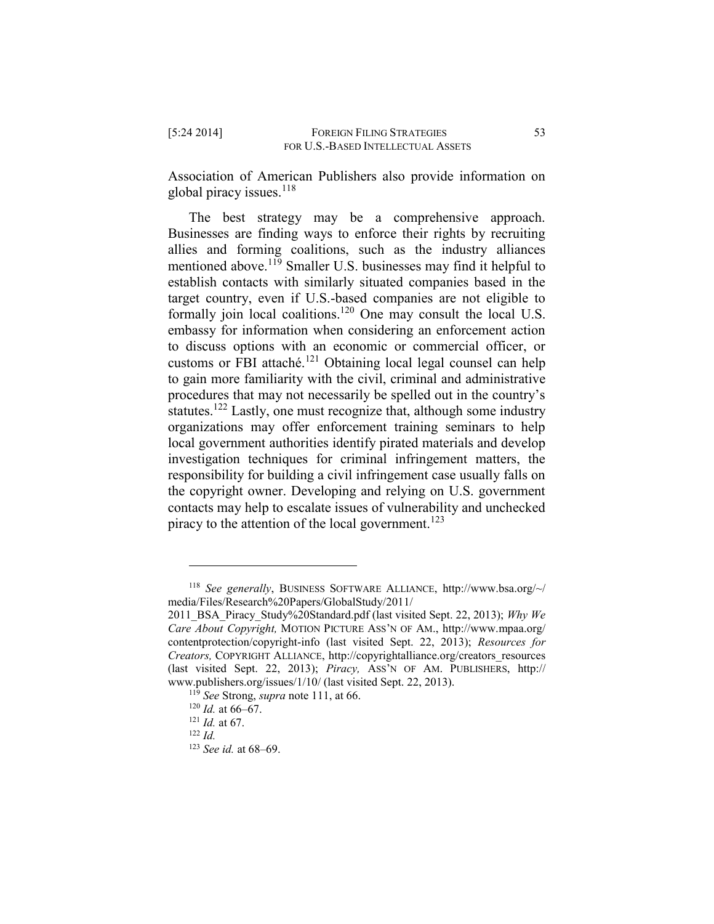Association of American Publishers also provide information on global piracy issues. $^{118}$ 

The best strategy may be a comprehensive approach. Businesses are finding ways to enforce their rights by recruiting allies and forming coalitions, such as the industry alliances mentioned above.<sup>119</sup> Smaller U.S. businesses may find it helpful to establish contacts with similarly situated companies based in the target country, even if U.S.-based companies are not eligible to formally join local coalitions.<sup>120</sup> One may consult the local U.S. embassy for information when considering an enforcement action to discuss options with an economic or commercial officer, or customs or FBI attaché.<sup>121</sup> Obtaining local legal counsel can help to gain more familiarity with the civil, criminal and administrative procedures that may not necessarily be spelled out in the country's statutes.<sup>122</sup> Lastly, one must recognize that, although some industry organizations may offer enforcement training seminars to help local government authorities identify pirated materials and develop investigation techniques for criminal infringement matters, the responsibility for building a civil infringement case usually falls on the copyright owner. Developing and relying on U.S. government contacts may help to escalate issues of vulnerability and unchecked piracy to the attention of the local government.<sup>123</sup>

<sup>118</sup> *See generally*, BUSINESS SOFTWARE ALLIANCE, http://www.bsa.org/~/ media/Files/Research%20Papers/GlobalStudy/2011/

<sup>2011</sup>\_BSA\_Piracy\_Study%20Standard.pdf (last visited Sept. 22, 2013); *Why We Care About Copyright,* MOTION PICTURE ASS'N OF AM., http://www.mpaa.org/ contentprotection/copyright-info (last visited Sept. 22, 2013); *Resources for Creators,* COPYRIGHT ALLIANCE, http://copyrightalliance.org/creators\_resources (last visited Sept. 22, 2013); *Piracy,* ASS'N OF AM. PUBLISHERS, http:// www.publishers.org/issues/1/10/ (last visited Sept. 22, 2013).

<sup>119</sup> *See* Strong, *supra* note 111, at 66.

 $120$  *Id.* at 66–67.

<sup>121</sup> *Id.* at 67.

<sup>122</sup> *Id.*

<sup>123</sup> *See id.* at 68–69.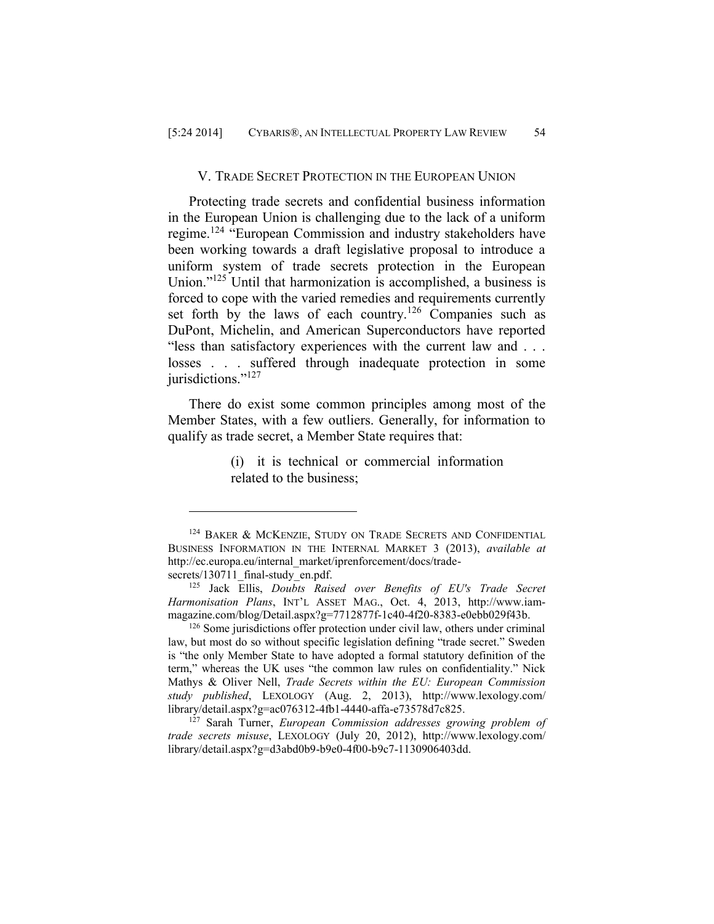#### V. TRADE SECRET PROTECTION IN THE EUROPEAN UNION

Protecting trade secrets and confidential business information in the European Union is challenging due to the lack of a uniform regime.<sup>124</sup> "European Commission and industry stakeholders have been working towards a draft legislative proposal to introduce a uniform system of trade secrets protection in the European Union."<sup>125</sup> Until that harmonization is accomplished, a business is forced to cope with the varied remedies and requirements currently set forth by the laws of each country.<sup>126</sup> Companies such as DuPont, Michelin, and American Superconductors have reported "less than satisfactory experiences with the current law and . . . losses . . . suffered through inadequate protection in some jurisdictions."<sup>127</sup>

There do exist some common principles among most of the Member States, with a few outliers. Generally, for information to qualify as trade secret, a Member State requires that:

> (i) it is technical or commercial information related to the business;

<sup>&</sup>lt;sup>124</sup> BAKER & MCKENZIE, STUDY ON TRADE SECRETS AND CONFIDENTIAL BUSINESS INFORMATION IN THE INTERNAL MARKET 3 (2013), *available at*  http://ec.europa.eu/internal\_market/iprenforcement/docs/tradesecrets/130711\_final-study\_en.pdf.

<sup>125</sup> Jack Ellis, *Doubts Raised over Benefits of EU's Trade Secret Harmonisation Plans*, INT'L ASSET MAG., Oct. 4, 2013, http://www.iammagazine.com/blog/Detail.aspx?g=7712877f-1c40-4f20-8383-e0ebb029f43b.

<sup>126</sup> Some jurisdictions offer protection under civil law, others under criminal law, but most do so without specific legislation defining "trade secret." Sweden is "the only Member State to have adopted a formal statutory definition of the term," whereas the UK uses "the common law rules on confidentiality." Nick Mathys & Oliver Nell, *Trade Secrets within the EU: European Commission study published*, LEXOLOGY (Aug. 2, 2013), http://www.lexology.com/ library/detail.aspx?g=ac076312-4fb1-4440-affa-e73578d7c825.

<sup>127</sup> Sarah Turner, *European Commission addresses growing problem of trade secrets misuse*, LEXOLOGY (July 20, 2012), http://www.lexology.com/ library/detail.aspx?g=d3abd0b9-b9e0-4f00-b9c7-1130906403dd.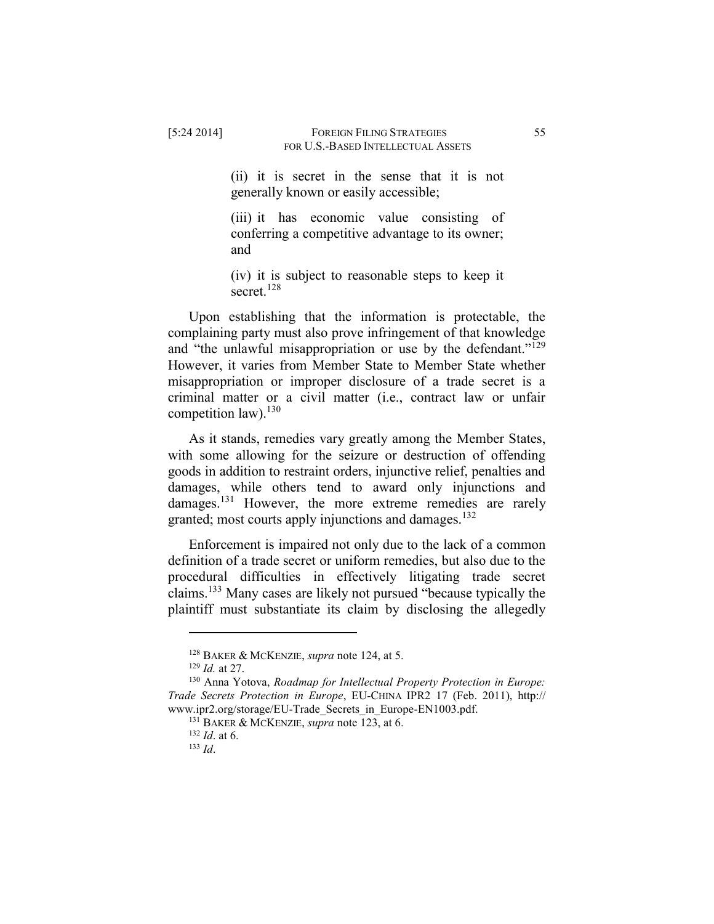(ii) it is secret in the sense that it is not generally known or easily accessible;

(iii) it has economic value consisting of conferring a competitive advantage to its owner; and

(iv) it is subject to reasonable steps to keep it secret.<sup>128</sup>

Upon establishing that the information is protectable, the complaining party must also prove infringement of that knowledge and "the unlawful misappropriation or use by the defendant."<sup>129</sup> However, it varies from Member State to Member State whether misappropriation or improper disclosure of a trade secret is a criminal matter or a civil matter (i.e., contract law or unfair competition law).<sup>130</sup>

As it stands, remedies vary greatly among the Member States, with some allowing for the seizure or destruction of offending goods in addition to restraint orders, injunctive relief, penalties and damages, while others tend to award only injunctions and damages.<sup>131</sup> However, the more extreme remedies are rarely granted; most courts apply injunctions and damages.<sup>132</sup>

Enforcement is impaired not only due to the lack of a common definition of a trade secret or uniform remedies, but also due to the procedural difficulties in effectively litigating trade secret claims.<sup>133</sup> Many cases are likely not pursued "because typically the plaintiff must substantiate its claim by disclosing the allegedly

<sup>128</sup> BAKER & MCKENZIE, *supra* note 124, at 5.

<sup>129</sup> *Id.* at 27.

<sup>130</sup> Anna Yotova, *Roadmap for Intellectual Property Protection in Europe: Trade Secrets Protection in Europe*, EU-CHINA IPR2 17 (Feb. 2011), http:// www.ipr2.org/storage/EU-Trade Secrets in Europe-EN1003.pdf.

<sup>131</sup> BAKER & MCKENZIE, *supra* note 123, at 6.

<sup>132</sup> *Id*. at 6.

<sup>133</sup> *Id*.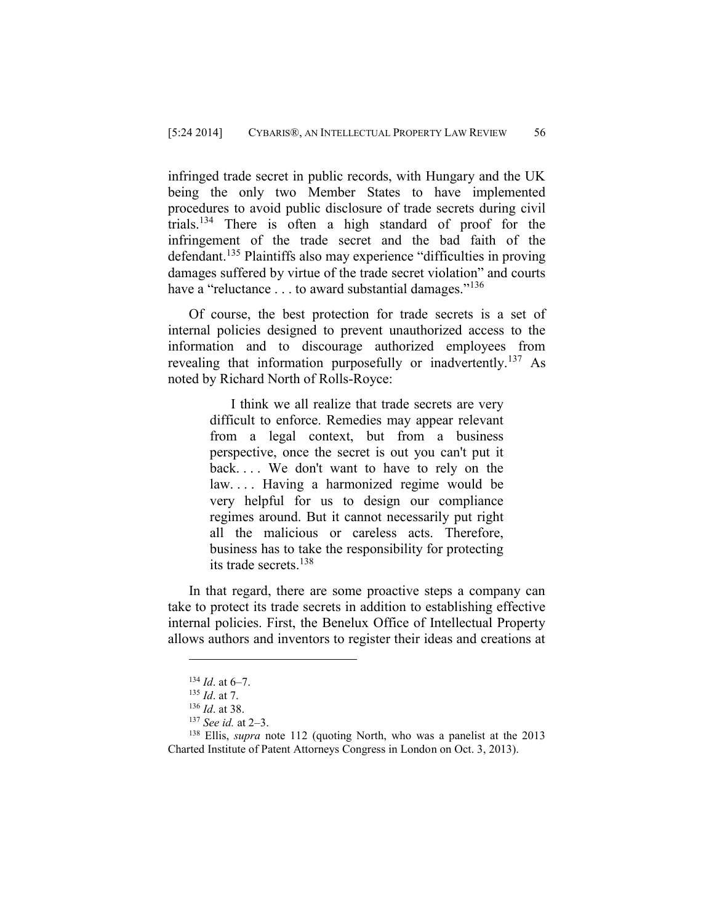infringed trade secret in public records, with Hungary and the UK being the only two Member States to have implemented procedures to avoid public disclosure of trade secrets during civil trials.<sup>134</sup> There is often a high standard of proof for the infringement of the trade secret and the bad faith of the defendant.<sup>135</sup> Plaintiffs also may experience "difficulties in proving damages suffered by virtue of the trade secret violation" and courts have a "reluctance . . . to award substantial damages."<sup>136</sup>

Of course, the best protection for trade secrets is a set of internal policies designed to prevent unauthorized access to the information and to discourage authorized employees from revealing that information purposefully or inadvertently.<sup>137</sup> As noted by Richard North of Rolls-Royce:

> I think we all realize that trade secrets are very difficult to enforce. Remedies may appear relevant from a legal context, but from a business perspective, once the secret is out you can't put it back.... We don't want to have to rely on the law. . . . Having a harmonized regime would be very helpful for us to design our compliance regimes around. But it cannot necessarily put right all the malicious or careless acts. Therefore, business has to take the responsibility for protecting its trade secrets.<sup>138</sup>

In that regard, there are some proactive steps a company can take to protect its trade secrets in addition to establishing effective internal policies. First, the Benelux Office of Intellectual Property allows authors and inventors to register their ideas and creations at

 $134$  *Id.* at 6–7.

<sup>135</sup> *Id*. at 7.

<sup>136</sup> *Id*. at 38.

<sup>137</sup> *See id.* at 2–3.

<sup>138</sup> Ellis, *supra* note 112 (quoting North, who was a panelist at the 2013 Charted Institute of Patent Attorneys Congress in London on Oct. 3, 2013).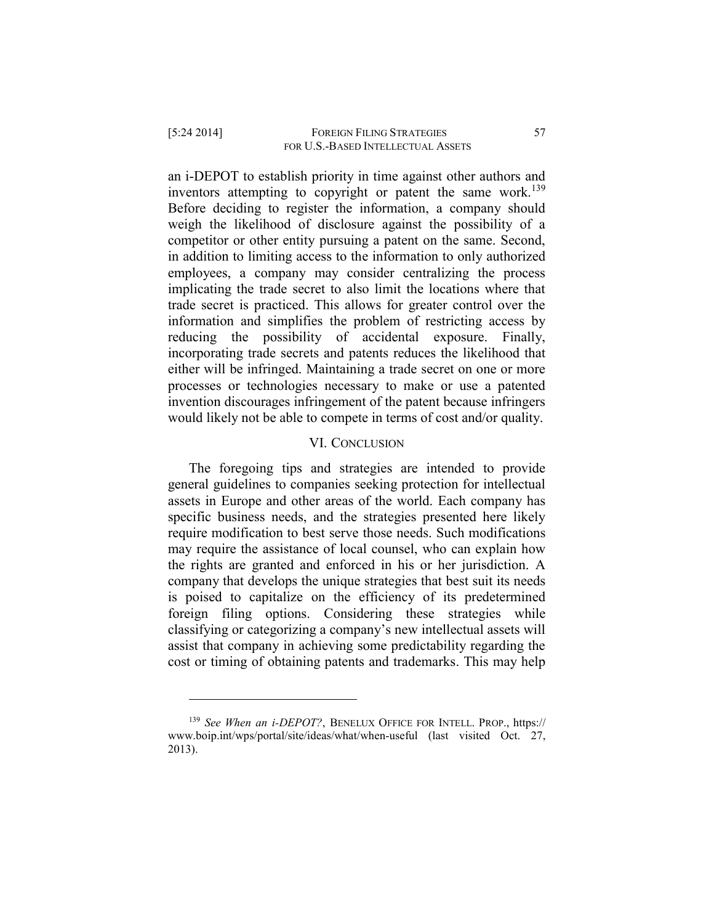an i-DEPOT to establish priority in time against other authors and inventors attempting to copyright or patent the same work.<sup>139</sup> Before deciding to register the information, a company should weigh the likelihood of disclosure against the possibility of a competitor or other entity pursuing a patent on the same. Second, in addition to limiting access to the information to only authorized employees, a company may consider centralizing the process implicating the trade secret to also limit the locations where that trade secret is practiced. This allows for greater control over the

information and simplifies the problem of restricting access by reducing the possibility of accidental exposure. Finally, incorporating trade secrets and patents reduces the likelihood that either will be infringed. Maintaining a trade secret on one or more processes or technologies necessary to make or use a patented invention discourages infringement of the patent because infringers would likely not be able to compete in terms of cost and/or quality.

#### VI. CONCLUSION

The foregoing tips and strategies are intended to provide general guidelines to companies seeking protection for intellectual assets in Europe and other areas of the world. Each company has specific business needs, and the strategies presented here likely require modification to best serve those needs. Such modifications may require the assistance of local counsel, who can explain how the rights are granted and enforced in his or her jurisdiction. A company that develops the unique strategies that best suit its needs is poised to capitalize on the efficiency of its predetermined foreign filing options. Considering these strategies while classifying or categorizing a company's new intellectual assets will assist that company in achieving some predictability regarding the cost or timing of obtaining patents and trademarks. This may help

<sup>139</sup> *See When an i-DEPOT?*, BENELUX OFFICE FOR INTELL. PROP., https:// www.boip.int/wps/portal/site/ideas/what/when-useful (last visited Oct. 27, 2013).